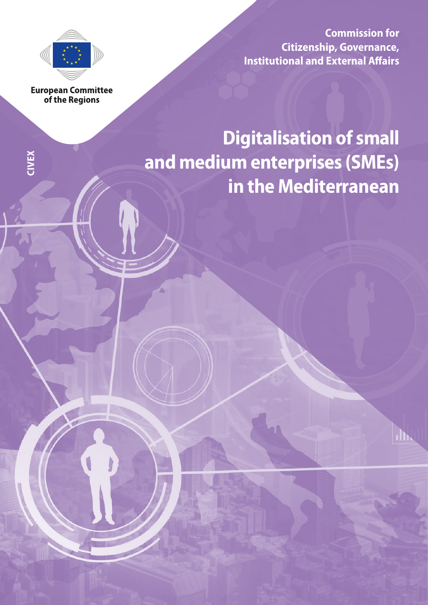

**Commission for Citizenship, Governance, Institutional and External Affairs**

**European Committee** of the Regions

**CIVEX**

# **Digitalisation of small and medium enterprises (SMEs) in the Mediterranean**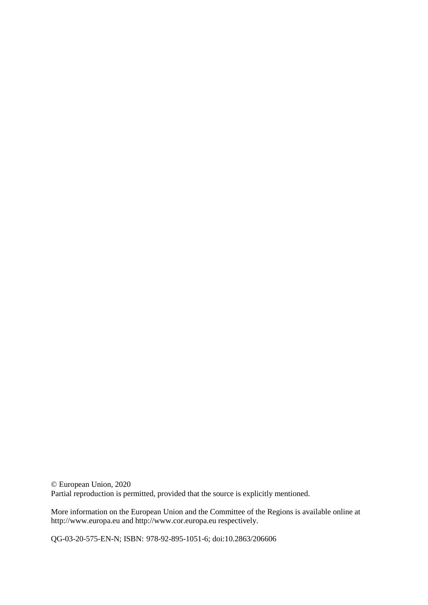© European Union, 2020 Partial reproduction is permitted, provided that the source is explicitly mentioned.

More information on the European Union and the Committee of the Regions is available online at http://www.europa.eu and http://www.cor.europa.eu respectively.

QG-03-20-575-EN-N; ISBN: 978-92-895-1051-6; doi:10.2863/206606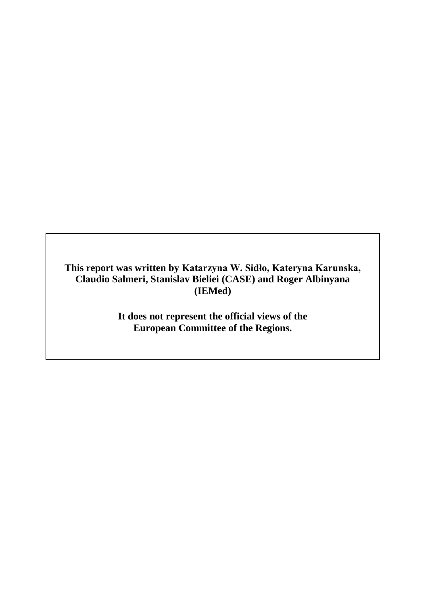**This report was written by Katarzyna W. Sidło, Kateryna Karunska, Claudio Salmeri, Stanislav Bieliei (CASE) and Roger Albinyana (IEMed)**

> **It does not represent the official views of the European Committee of the Regions.**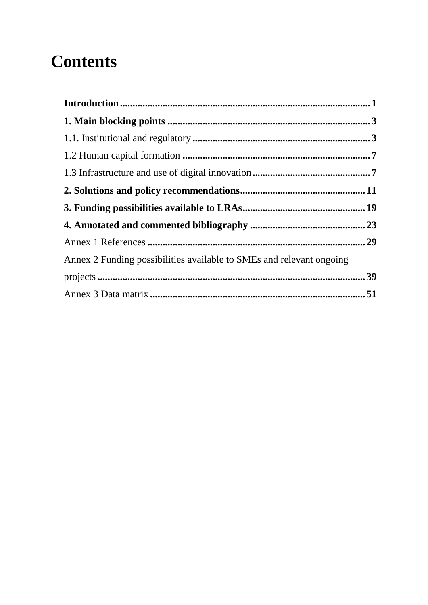## **Contents**

| Annex 2 Funding possibilities available to SMEs and relevant ongoing |  |
|----------------------------------------------------------------------|--|
|                                                                      |  |
|                                                                      |  |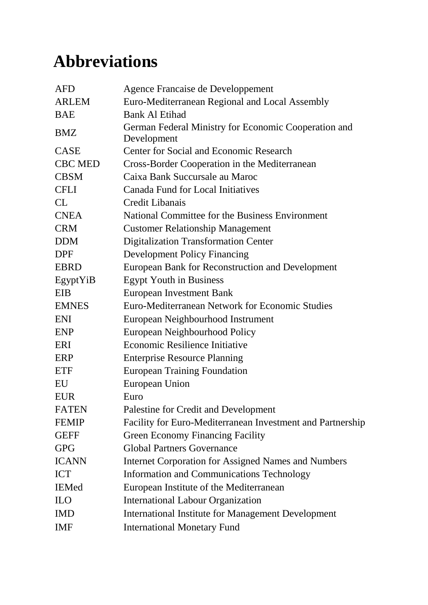## **Abbreviations**

| <b>AFD</b>     | Agence Francaise de Developpement                                   |
|----------------|---------------------------------------------------------------------|
| <b>ARLEM</b>   | Euro-Mediterranean Regional and Local Assembly                      |
| <b>BAE</b>     | <b>Bank Al Etihad</b>                                               |
| <b>BMZ</b>     | German Federal Ministry for Economic Cooperation and<br>Development |
| <b>CASE</b>    | Center for Social and Economic Research                             |
| <b>CBC MED</b> | Cross-Border Cooperation in the Mediterranean                       |
| <b>CBSM</b>    | Caixa Bank Succursale au Maroc                                      |
| <b>CFLI</b>    | <b>Canada Fund for Local Initiatives</b>                            |
| CL             | Credit Libanais                                                     |
| <b>CNEA</b>    | National Committee for the Business Environment                     |
| <b>CRM</b>     | <b>Customer Relationship Management</b>                             |
| <b>DDM</b>     | <b>Digitalization Transformation Center</b>                         |
| <b>DPF</b>     | <b>Development Policy Financing</b>                                 |
| <b>EBRD</b>    | European Bank for Reconstruction and Development                    |
| EgyptYiB       | <b>Egypt Youth in Business</b>                                      |
| <b>EIB</b>     | European Investment Bank                                            |
| <b>EMNES</b>   | Euro-Mediterranean Network for Economic Studies                     |
| <b>ENI</b>     | European Neighbourhood Instrument                                   |
| <b>ENP</b>     | European Neighbourhood Policy                                       |
| ERI            | <b>Economic Resilience Initiative</b>                               |
| ERP            | <b>Enterprise Resource Planning</b>                                 |
| <b>ETF</b>     | <b>European Training Foundation</b>                                 |
| EU             | European Union                                                      |
| <b>EUR</b>     | Euro                                                                |
| <b>FATEN</b>   | Palestine for Credit and Development                                |
| <b>FEMIP</b>   | Facility for Euro-Mediterranean Investment and Partnership          |
| <b>GEFF</b>    | <b>Green Economy Financing Facility</b>                             |
| <b>GPG</b>     | <b>Global Partners Governance</b>                                   |
| <b>ICANN</b>   | <b>Internet Corporation for Assigned Names and Numbers</b>          |
| <b>ICT</b>     | <b>Information and Communications Technology</b>                    |
| <b>IEMed</b>   | European Institute of the Mediterranean                             |
| <b>ILO</b>     | <b>International Labour Organization</b>                            |
| <b>IMD</b>     | <b>International Institute for Management Development</b>           |
| <b>IMF</b>     | <b>International Monetary Fund</b>                                  |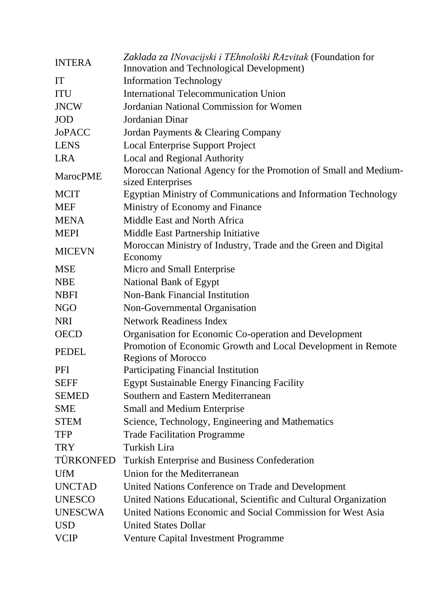| <b>INTERA</b>   | Zaklada za INovacijski i TEhnološki RAzvitak (Foundation for<br><b>Innovation and Technological Development)</b> |  |  |  |  |  |  |  |  |  |
|-----------------|------------------------------------------------------------------------------------------------------------------|--|--|--|--|--|--|--|--|--|
| <b>IT</b>       | <b>Information Technology</b>                                                                                    |  |  |  |  |  |  |  |  |  |
| <b>ITU</b>      | <b>International Telecommunication Union</b>                                                                     |  |  |  |  |  |  |  |  |  |
| <b>JNCW</b>     | Jordanian National Commission for Women                                                                          |  |  |  |  |  |  |  |  |  |
| <b>JOD</b>      | Jordanian Dinar                                                                                                  |  |  |  |  |  |  |  |  |  |
| <b>JoPACC</b>   |                                                                                                                  |  |  |  |  |  |  |  |  |  |
| <b>LENS</b>     | Jordan Payments & Clearing Company                                                                               |  |  |  |  |  |  |  |  |  |
| <b>LRA</b>      | <b>Local Enterprise Support Project</b>                                                                          |  |  |  |  |  |  |  |  |  |
|                 | Local and Regional Authority                                                                                     |  |  |  |  |  |  |  |  |  |
| <b>MarocPME</b> | Moroccan National Agency for the Promotion of Small and Medium-<br>sized Enterprises                             |  |  |  |  |  |  |  |  |  |
| <b>MCIT</b>     | Egyptian Ministry of Communications and Information Technology                                                   |  |  |  |  |  |  |  |  |  |
| <b>MEF</b>      | Ministry of Economy and Finance                                                                                  |  |  |  |  |  |  |  |  |  |
| <b>MENA</b>     | Middle East and North Africa                                                                                     |  |  |  |  |  |  |  |  |  |
| <b>MEPI</b>     | Middle East Partnership Initiative                                                                               |  |  |  |  |  |  |  |  |  |
|                 | Moroccan Ministry of Industry, Trade and the Green and Digital                                                   |  |  |  |  |  |  |  |  |  |
| <b>MICEVN</b>   | Economy                                                                                                          |  |  |  |  |  |  |  |  |  |
| <b>MSE</b>      | Micro and Small Enterprise                                                                                       |  |  |  |  |  |  |  |  |  |
| <b>NBE</b>      | National Bank of Egypt                                                                                           |  |  |  |  |  |  |  |  |  |
| <b>NBFI</b>     | <b>Non-Bank Financial Institution</b>                                                                            |  |  |  |  |  |  |  |  |  |
| <b>NGO</b>      | Non-Governmental Organisation                                                                                    |  |  |  |  |  |  |  |  |  |
| <b>NRI</b>      | <b>Network Readiness Index</b>                                                                                   |  |  |  |  |  |  |  |  |  |
| <b>OECD</b>     | Organisation for Economic Co-operation and Development                                                           |  |  |  |  |  |  |  |  |  |
| <b>PEDEL</b>    | Promotion of Economic Growth and Local Development in Remote                                                     |  |  |  |  |  |  |  |  |  |
|                 | <b>Regions of Morocco</b>                                                                                        |  |  |  |  |  |  |  |  |  |
| PFI             | Participating Financial Institution                                                                              |  |  |  |  |  |  |  |  |  |
| <b>SEFF</b>     | <b>Egypt Sustainable Energy Financing Facility</b>                                                               |  |  |  |  |  |  |  |  |  |
| <b>SEMED</b>    | Southern and Eastern Mediterranean                                                                               |  |  |  |  |  |  |  |  |  |
| <b>SME</b>      | <b>Small and Medium Enterprise</b>                                                                               |  |  |  |  |  |  |  |  |  |
| <b>STEM</b>     | Science, Technology, Engineering and Mathematics                                                                 |  |  |  |  |  |  |  |  |  |
| <b>TFP</b>      | <b>Trade Facilitation Programme</b>                                                                              |  |  |  |  |  |  |  |  |  |
| <b>TRY</b>      | <b>Turkish Lira</b>                                                                                              |  |  |  |  |  |  |  |  |  |
| TÜRKONFED       | <b>Turkish Enterprise and Business Confederation</b>                                                             |  |  |  |  |  |  |  |  |  |
| <b>UfM</b>      | Union for the Mediterranean                                                                                      |  |  |  |  |  |  |  |  |  |
| <b>UNCTAD</b>   | United Nations Conference on Trade and Development                                                               |  |  |  |  |  |  |  |  |  |
| <b>UNESCO</b>   | United Nations Educational, Scientific and Cultural Organization                                                 |  |  |  |  |  |  |  |  |  |
| <b>UNESCWA</b>  | United Nations Economic and Social Commission for West Asia                                                      |  |  |  |  |  |  |  |  |  |
| <b>USD</b>      | <b>United States Dollar</b>                                                                                      |  |  |  |  |  |  |  |  |  |
| <b>VCIP</b>     | <b>Venture Capital Investment Programme</b>                                                                      |  |  |  |  |  |  |  |  |  |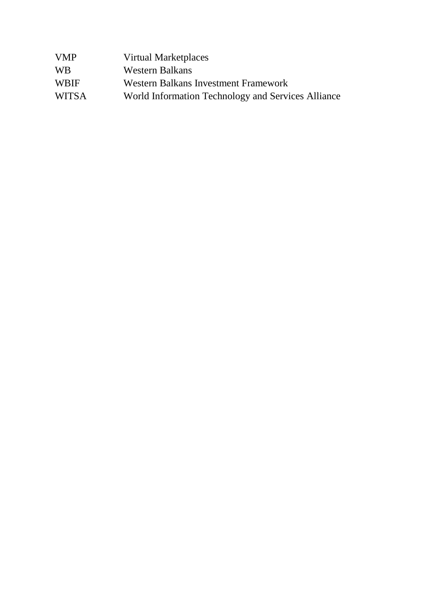| Virtual Marketplaces                               |
|----------------------------------------------------|
| Western Balkans                                    |
| Western Balkans Investment Framework               |
| World Information Technology and Services Alliance |
|                                                    |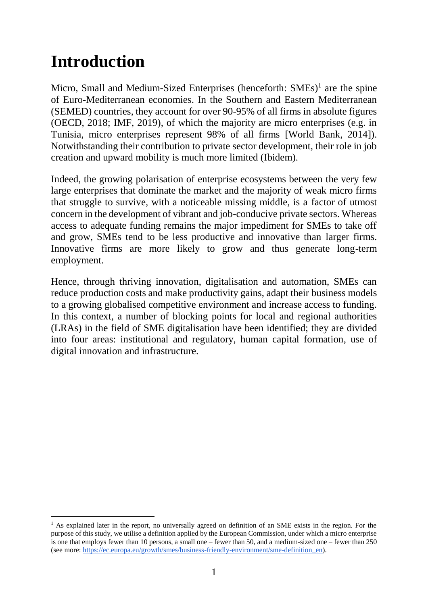## <span id="page-10-0"></span>**Introduction**

Micro, Small and Medium-Sized Enterprises (henceforth: SMEs)<sup>1</sup> are the spine of Euro-Mediterranean economies. In the Southern and Eastern Mediterranean (SEMED) countries, they account for over 90-95% of all firms in absolute figures (OECD, 2018; IMF, 2019), of which the majority are micro enterprises (e.g. in Tunisia, micro enterprises represent 98% of all firms [World Bank, 2014]). Notwithstanding their contribution to private sector development, their role in job creation and upward mobility is much more limited (Ibidem).

Indeed, the growing polarisation of enterprise ecosystems between the very few large enterprises that dominate the market and the majority of weak micro firms that struggle to survive, with a noticeable missing middle, is a factor of utmost concern in the development of vibrant and job-conducive private sectors. Whereas access to adequate funding remains the major impediment for SMEs to take off and grow, SMEs tend to be less productive and innovative than larger firms. Innovative firms are more likely to grow and thus generate long-term employment.

Hence, through thriving innovation, digitalisation and automation, SMEs can reduce production costs and make productivity gains, adapt their business models to a growing globalised competitive environment and increase access to funding. In this context, a number of blocking points for local and regional authorities (LRAs) in the field of SME digitalisation have been identified; they are divided into four areas: institutional and regulatory, human capital formation, use of digital innovation and infrastructure.

 $\overline{a}$ <sup>1</sup> As explained later in the report, no universally agreed on definition of an SME exists in the region. For the purpose of this study, we utilise a definition applied by the European Commission, under which a micro enterprise is one that employs fewer than 10 persons, a small one – fewer than 50, and a medium-sized one – fewer than 250 (see more: https://ec.europa.eu/growth/smes/business-friendly-environment/sme-definition en).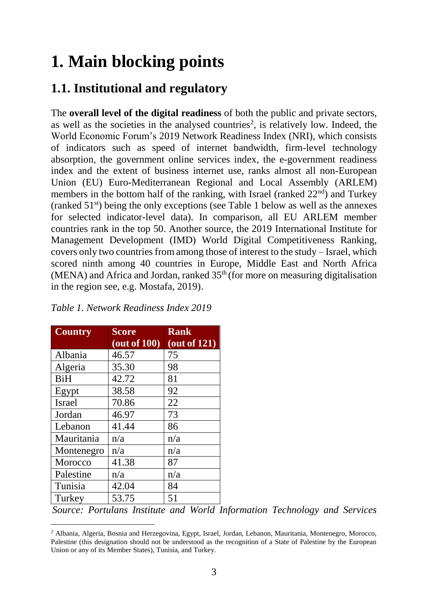## <span id="page-12-0"></span>**1. Main blocking points**

### <span id="page-12-1"></span>**1.1. Institutional and regulatory**

The **overall level of the digital readiness** of both the public and private sectors, as well as the societies in the analysed countries<sup>2</sup>, is relatively low. Indeed, the World Economic Forum's 2019 Network Readiness Index (NRI), which consists of indicators such as speed of internet bandwidth, firm-level technology absorption, the government online services index, the e-government readiness index and the extent of business internet use, ranks almost all non-European Union (EU) Euro-Mediterranean Regional and Local Assembly (ARLEM) members in the bottom half of the ranking, with Israel (ranked  $22<sup>nd</sup>$ ) and Turkey (ranked 51st) being the only exceptions (see Table 1 below as well as the annexes for selected indicator-level data). In comparison, all EU ARLEM member countries rank in the top 50. Another source, the 2019 International Institute for Management Development (IMD) World Digital Competitiveness Ranking, covers only two countries from among those of interest to the study – Israel, which scored ninth among 40 countries in Europe, Middle East and North Africa (MENA) and Africa and Jordan, ranked  $35<sup>th</sup>$  (for more on measuring digitalisation in the region see, e.g. Mostafa, 2019).

| <b>Country</b> | <b>Score</b>          | <b>Rank</b>        |
|----------------|-----------------------|--------------------|
|                | $(\text{out of }100)$ | $($ out of 121 $)$ |
| Albania        | 46.57                 | 75                 |
| Algeria        | 35.30                 | 98                 |
| <b>BiH</b>     | 42.72                 | 81                 |
| Egypt          | 38.58                 | 92                 |
| <b>Israel</b>  | 70.86                 | 22                 |
| Jordan         | 46.97                 | 73                 |
| Lebanon        | 41.44                 | 86                 |
| Mauritania     | n/a                   | n/a                |
| Montenegro     | n/a                   | n/a                |
| Morocco        | 41.38                 | 87                 |
| Palestine      | n/a                   | n/a                |
| Tunisia        | 42.04                 | 84                 |
| Turkey         | 53.75                 | 51                 |

l

*[Alliance \(WITSA\),](https://witsa.org/) 2019.*

#### *Table 1. Network Readiness Index 2019*

*Source: Portulans Institute and [World Information Technology and Services](https://witsa.org/)* 

<sup>2</sup> Albania, Algeria, Bosnia and Herzegovina, Egypt, Israel, Jordan, Lebanon, Mauritania, Montenegro, Morocco, Palestine (this designation should not be understood as the recognition of a State of Palestine by the European Union or any of its Member States), Tunisia, and Turkey.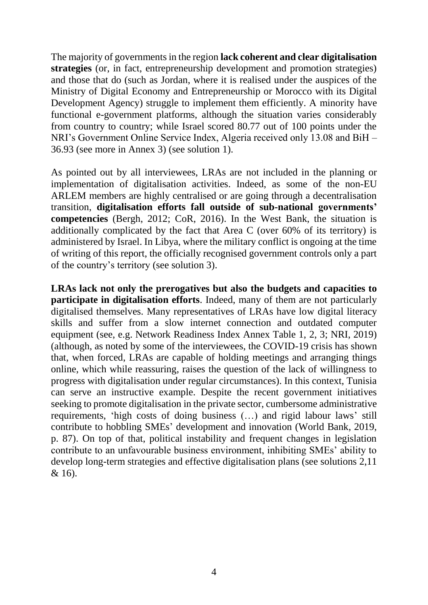The majority of governments in the region **lack coherent and clear digitalisation strategies** (or, in fact, entrepreneurship development and promotion strategies) and those that do (such as Jordan, where it is realised under the auspices of the Ministry of Digital Economy and Entrepreneurship or Morocco with its Digital Development Agency) struggle to implement them efficiently. A minority have functional e-government platforms, although the situation varies considerably from country to country; while Israel scored 80.77 out of 100 points under the NRI's Government Online Service Index, Algeria received only 13.08 and BiH – 36.93 (see more in Annex 3) (see solution 1).

As pointed out by all interviewees, LRAs are not included in the planning or implementation of digitalisation activities. Indeed, as some of the non-EU ARLEM members are highly centralised or are going through a decentralisation transition, **digitalisation efforts fall outside of sub-national governments' competencies** (Bergh, 2012; CoR, 2016). In the West Bank, the situation is additionally complicated by the fact that Area C (over 60% of its territory) is administered by Israel. In Libya, where the military conflict is ongoing at the time of writing of this report, the officially recognised government controls only a part of the country's territory (see solution 3).

**LRAs lack not only the prerogatives but also the budgets and capacities to participate in digitalisation efforts**. Indeed, many of them are not particularly digitalised themselves. Many representatives of LRAs have low digital literacy skills and suffer from a slow internet connection and outdated computer equipment (see, e.g. Network Readiness Index Annex Table 1, 2, 3; NRI, 2019) (although, as noted by some of the interviewees, the COVID-19 crisis has shown that, when forced, LRAs are capable of holding meetings and arranging things online, which while reassuring, raises the question of the lack of willingness to progress with digitalisation under regular circumstances). In this context, Tunisia can serve an instructive example. Despite the recent government initiatives seeking to promote digitalisation in the private sector, cumbersome administrative requirements, 'high costs of doing business (…) and rigid labour laws' still contribute to hobbling SMEs' development and innovation (World Bank, 2019, p. 87). On top of that, political instability and frequent changes in legislation contribute to an unfavourable business environment, inhibiting SMEs' ability to develop long-term strategies and effective digitalisation plans (see solutions 2,11 & 16).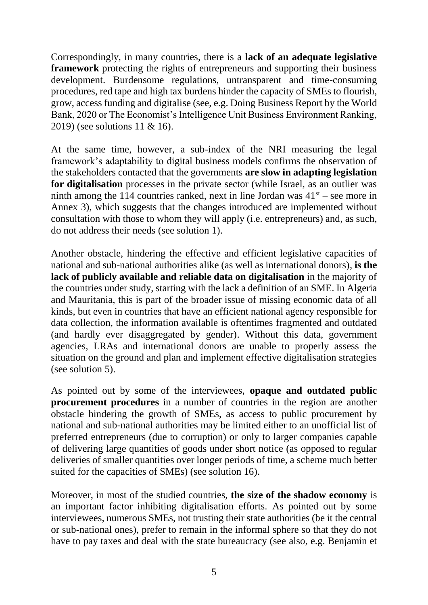Correspondingly, in many countries, there is a **lack of an adequate legislative framework** protecting the rights of entrepreneurs and supporting their business development. Burdensome regulations, untransparent and time-consuming procedures, red tape and high tax burdens hinder the capacity of SMEs to flourish, grow, access funding and digitalise (see, e.g. Doing Business Report by the World Bank, 2020 or The Economist's Intelligence Unit Business Environment Ranking, 2019) (see solutions 11 & 16).

At the same time, however, a sub-index of the NRI measuring the legal framework's adaptability to digital business models confirms the observation of the stakeholders contacted that the governments **are slow in adapting legislation for digitalisation** processes in the private sector (while Israel, as an outlier was ninth among the 114 countries ranked, next in line Jordan was  $41<sup>st</sup>$  – see more in Annex 3), which suggests that the changes introduced are implemented without consultation with those to whom they will apply (i.e. entrepreneurs) and, as such, do not address their needs (see solution 1).

Another obstacle, hindering the effective and efficient legislative capacities of national and sub-national authorities alike (as well as international donors), **is the lack of publicly available and reliable data on digitalisation** in the majority of the countries under study, starting with the lack a definition of an SME. In Algeria and Mauritania, this is part of the broader issue of missing economic data of all kinds, but even in countries that have an efficient national agency responsible for data collection, the information available is oftentimes fragmented and outdated (and hardly ever disaggregated by gender). Without this data, government agencies, LRAs and international donors are unable to properly assess the situation on the ground and plan and implement effective digitalisation strategies (see solution 5).

As pointed out by some of the interviewees, **opaque and outdated public procurement procedures** in a number of countries in the region are another obstacle hindering the growth of SMEs, as access to public procurement by national and sub-national authorities may be limited either to an unofficial list of preferred entrepreneurs (due to corruption) or only to larger companies capable of delivering large quantities of goods under short notice (as opposed to regular deliveries of smaller quantities over longer periods of time, a scheme much better suited for the capacities of SMEs) (see solution 16).

Moreover, in most of the studied countries, **the size of the shadow economy** is an important factor inhibiting digitalisation efforts. As pointed out by some interviewees, numerous SMEs, not trusting their state authorities (be it the central or sub-national ones), prefer to remain in the informal sphere so that they do not have to pay taxes and deal with the state bureaucracy (see also, e.g. Benjamin et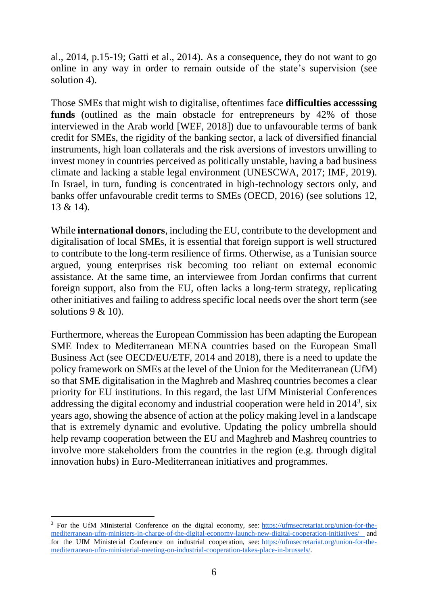al., 2014, p.15-19; Gatti et al., 2014). As a consequence, they do not want to go online in any way in order to remain outside of the state's supervision (see solution 4).

Those SMEs that might wish to digitalise, oftentimes face **difficulties accesssing funds** (outlined as the main obstacle for entrepreneurs by 42% of those interviewed in the Arab world [WEF, 2018]) due to unfavourable terms of bank credit for SMEs, the rigidity of the banking sector, a lack of diversified financial instruments, high loan collaterals and the risk aversions of investors unwilling to invest money in countries perceived as politically unstable, having a bad business climate and lacking a stable legal environment (UNESCWA, 2017; IMF, 2019). In Israel, in turn, funding is concentrated in high-technology sectors only, and banks offer unfavourable credit terms to SMEs (OECD, 2016) (see solutions 12, 13 & 14).

While **international donors**, including the EU, contribute to the development and digitalisation of local SMEs, it is essential that foreign support is well structured to contribute to the long-term resilience of firms. Otherwise, as a Tunisian source argued, young enterprises risk becoming too reliant on external economic assistance. At the same time, an interviewee from Jordan confirms that current foreign support, also from the EU, often lacks a long-term strategy, replicating other initiatives and failing to address specific local needs over the short term (see solutions  $9 < 10$ .

Furthermore, whereas the European Commission has been adapting the European SME Index to Mediterranean MENA countries based on the European Small Business Act (see OECD/EU/ETF, 2014 and 2018), there is a need to update the policy framework on SMEs at the level of the Union for the Mediterranean (UfM) so that SME digitalisation in the Maghreb and Mashreq countries becomes a clear priority for EU institutions. In this regard, the last UfM Ministerial Conferences addressing the digital economy and industrial cooperation were held in  $2014^3$ , six years ago, showing the absence of action at the policy making level in a landscape that is extremely dynamic and evolutive. Updating the policy umbrella should help revamp cooperation between the EU and Maghreb and Mashreq countries to involve more stakeholders from the countries in the region (e.g. through digital innovation hubs) in Euro-Mediterranean initiatives and programmes.

 $\overline{a}$ 

<sup>3</sup> For the UfM Ministerial Conference on the digital economy, see: [https://ufmsecretariat.org/union-for-the](https://ufmsecretariat.org/union-for-the-mediterranean-ufm-ministers-in-charge-of-the-digital-economy-launch-new-digital-cooperation-initiatives)[mediterranean-ufm-ministers-in-charge-of-the-digital-economy-launch-new-digital-cooperation-initiatives/](https://ufmsecretariat.org/union-for-the-mediterranean-ufm-ministers-in-charge-of-the-digital-economy-launch-new-digital-cooperation-initiatives) and for the UfM Ministerial Conference on industrial cooperation, see: [https://ufmsecretariat.org/union-for-the](https://ufmsecretariat.org/union-for-the-mediterranean-ufm-ministerial-meeting-on-industrial-cooperation-takes-place-in-brussels/)[mediterranean-ufm-ministerial-meeting-on-industrial-cooperation-takes-place-in-brussels/.](https://ufmsecretariat.org/union-for-the-mediterranean-ufm-ministerial-meeting-on-industrial-cooperation-takes-place-in-brussels/)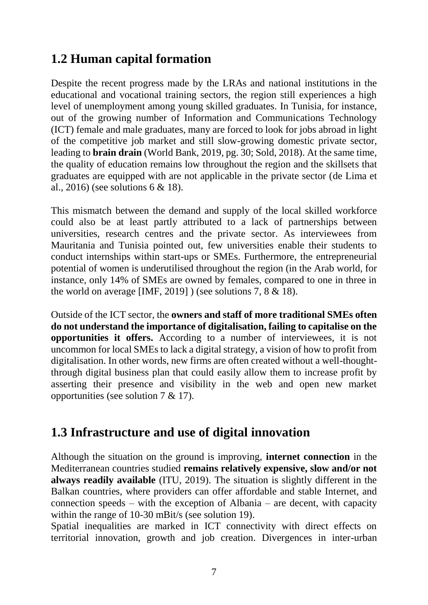### <span id="page-16-0"></span>**1.2 Human capital formation**

Despite the recent progress made by the LRAs and national institutions in the educational and vocational training sectors, the region still experiences a high level of unemployment among young skilled graduates. In Tunisia, for instance, out of the growing number of Information and Communications Technology (ICT) female and male graduates, many are forced to look for jobs abroad in light of the competitive job market and still slow-growing domestic private sector, leading to **brain drain** (World Bank, 2019, pg. 30; Sold, 2018). At the same time, the quality of education remains low throughout the region and the skillsets that graduates are equipped with are not applicable in the private sector (de Lima et al., 2016) (see solutions 6 & 18).

This mismatch between the demand and supply of the local skilled workforce could also be at least partly attributed to a lack of partnerships between universities, research centres and the private sector. As interviewees from Mauritania and Tunisia pointed out, few universities enable their students to conduct internships within start-ups or SMEs. Furthermore, the entrepreneurial potential of women is underutilised throughout the region (in the Arab world, for instance, only 14% of SMEs are owned by females, compared to one in three in the world on average [IMF, 2019] ) (see solutions 7, 8  $\&$  18).

Outside of the ICT sector, the **owners and staff of more traditional SMEs often do not understand the importance of digitalisation, failing to capitalise on the opportunities it offers.** According to a number of interviewees, it is not uncommon for local SMEs to lack a digital strategy, a vision of how to profit from digitalisation. In other words, new firms are often created without a well-thoughtthrough digital business plan that could easily allow them to increase profit by asserting their presence and visibility in the web and open new market opportunities (see solution 7 & 17).

### <span id="page-16-1"></span>**1.3 Infrastructure and use of digital innovation**

Although the situation on the ground is improving, **internet connection** in the Mediterranean countries studied **remains relatively expensive, slow and/or not always readily available** (ITU, 2019). The situation is slightly different in the Balkan countries, where providers can offer affordable and stable Internet, and connection speeds – with the exception of Albania – are decent, with capacity within the range of 10-30 mBit/s (see solution 19).

Spatial inequalities are marked in ICT connectivity with direct effects on territorial innovation, growth and job creation. Divergences in inter-urban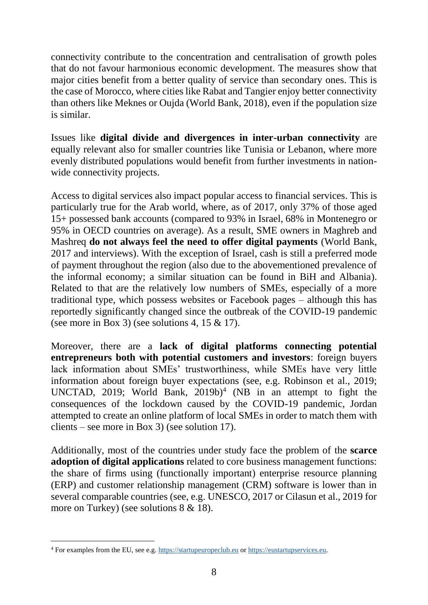connectivity contribute to the concentration and centralisation of growth poles that do not favour harmonious economic development. The measures show that major cities benefit from a better quality of service than secondary ones. This is the case of Morocco, where cities like Rabat and Tangier enjoy better connectivity than others like Meknes or Oujda (World Bank, 2018), even if the population size is similar.

Issues like **digital divide and divergences in inter-urban connectivity** are equally relevant also for smaller countries like Tunisia or Lebanon, where more evenly distributed populations would benefit from further investments in nationwide connectivity projects.

Access to digital services also impact popular access to financial services. This is particularly true for the Arab world, where, as of 2017, only 37% of those aged 15+ possessed bank accounts (compared to 93% in Israel, 68% in Montenegro or 95% in OECD countries on average). As a result, SME owners in Maghreb and Mashreq **do not always feel the need to offer digital payments** (World Bank, 2017 and interviews). With the exception of Israel, cash is still a preferred mode of payment throughout the region (also due to the abovementioned prevalence of the informal economy; a similar situation can be found in BiH and Albania). Related to that are the relatively low numbers of SMEs, especially of a more traditional type, which possess websites or Facebook pages – although this has reportedly significantly changed since the outbreak of the COVID-19 pandemic (see more in Box 3) (see solutions 4, 15  $& 17$ ).

Moreover, there are a **lack of digital platforms connecting potential entrepreneurs both with potential customers and investors**: foreign buyers lack information about SMEs' trustworthiness, while SMEs have very little information about foreign buyer expectations (see, e.g. Robinson et al., 2019; UNCTAD, 2019; World Bank,  $2019b$ <sup>4</sup> (NB in an attempt to fight the consequences of the lockdown caused by the COVID-19 pandemic, Jordan attempted to create an online platform of local SMEs in order to match them with clients – see more in Box 3) (see solution 17).

Additionally, most of the countries under study face the problem of the **scarce adoption of digital applications** related to core business management functions: the share of firms using (functionally important) enterprise resource planning (ERP) and customer relationship management (CRM) software is lower than in several comparable countries (see, e.g. UNESCO, 2017 or Cilasun et al., 2019 for more on Turkey) (see solutions 8 & 18).

 $\overline{a}$ 

<sup>4</sup> For examples from the EU, see e.g. [https://startupeuropeclub.eu](https://startupeuropeclub.eu/) or [https://eustartupservices.eu.](https://eustartupservices.eu/)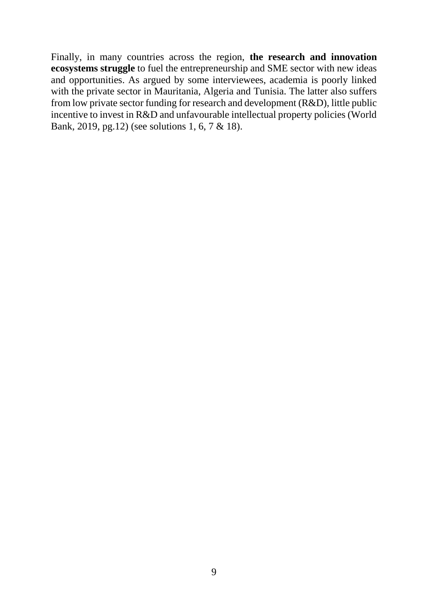<span id="page-18-0"></span>Finally, in many countries across the region, **the research and innovation ecosystems struggle** to fuel the entrepreneurship and SME sector with new ideas and opportunities. As argued by some interviewees, academia is poorly linked with the private sector in Mauritania, Algeria and Tunisia. The latter also suffers from low private sector funding for research and development (R&D), little public incentive to invest in R&D and unfavourable intellectual property policies (World Bank, 2019, pg.12) (see solutions 1, 6, 7 & 18).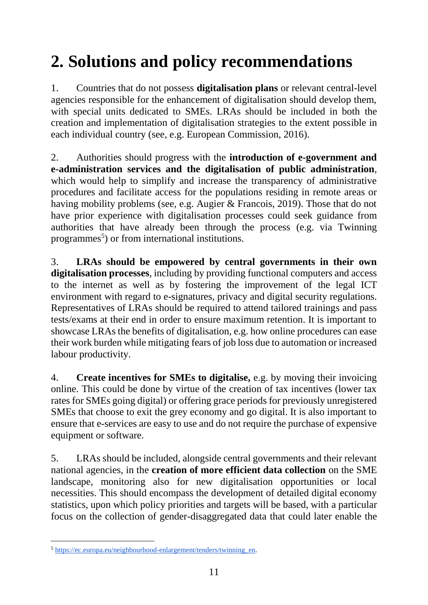## **2. Solutions and policy recommendations**

1. Countries that do not possess **digitalisation plans** or relevant central-level agencies responsible for the enhancement of digitalisation should develop them, with special units dedicated to SMEs. LRAs should be included in both the creation and implementation of digitalisation strategies to the extent possible in each individual country (see, e.g. European Commission, 2016).

2. Authorities should progress with the **introduction of e-government and e-administration services and the digitalisation of public administration**, which would help to simplify and increase the transparency of administrative procedures and facilitate access for the populations residing in remote areas or having mobility problems (see, e.g. Augier & Francois, 2019). Those that do not have prior experience with digitalisation processes could seek guidance from authorities that have already been through the process (e.g. via Twinning programmes<sup>5</sup>) or from international institutions.

3. **LRAs should be empowered by central governments in their own digitalisation processes**, including by providing functional computers and access to the internet as well as by fostering the improvement of the legal ICT environment with regard to e-signatures, privacy and digital security regulations. Representatives of LRAs should be required to attend tailored trainings and pass tests/exams at their end in order to ensure maximum retention. It is important to showcase LRAs the benefits of digitalisation, e.g. how online procedures can ease their work burden while mitigating fears of job loss due to automation or increased labour productivity.

4. **Create incentives for SMEs to digitalise,** e.g. by moving their invoicing online. This could be done by virtue of the creation of tax incentives (lower tax rates for SMEs going digital) or offering grace periods for previously unregistered SMEs that choose to exit the grey economy and go digital. It is also important to ensure that e-services are easy to use and do not require the purchase of expensive equipment or software.

5. LRAs should be included, alongside central governments and their relevant national agencies, in the **creation of more efficient data collection** on the SME landscape, monitoring also for new digitalisation opportunities or local necessities. This should encompass the development of detailed digital economy statistics, upon which policy priorities and targets will be based, with a particular focus on the collection of gender-disaggregated data that could later enable the

 $\overline{a}$ 

<sup>5</sup> [https://ec.europa.eu/neighbourhood-enlargement/tenders/twinning\\_en.](https://ec.europa.eu/neighbourhood-enlargement/tenders/twinning_en)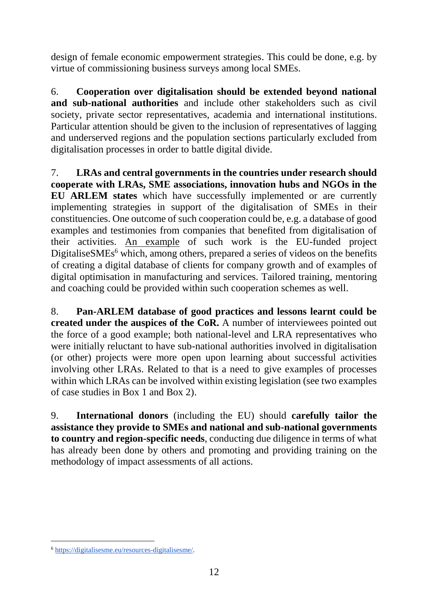design of female economic empowerment strategies. This could be done, e.g. by virtue of commissioning business surveys among local SMEs.

6. **Cooperation over digitalisation should be extended beyond national and sub-national authorities** and include other stakeholders such as civil society, private sector representatives, academia and international institutions. Particular attention should be given to the inclusion of representatives of lagging and underserved regions and the population sections particularly excluded from digitalisation processes in order to battle digital divide.

7. **LRAs and central governments in the countries under research should cooperate with LRAs, SME associations, innovation hubs and NGOs in the EU ARLEM states** which have successfully implemented or are currently implementing strategies in support of the digitalisation of SMEs in their constituencies. One outcome of such cooperation could be, e.g. a database of good examples and testimonies from companies that benefited from digitalisation of their activities. An example of such work is the EU-funded project DigitaliseSMEs $<sup>6</sup>$  which, among others, prepared a series of videos on the benefits</sup> of creating a digital database of clients for company growth and of examples of digital optimisation in manufacturing and services. Tailored training, mentoring and coaching could be provided within such cooperation schemes as well.

8. **Pan-ARLEM database of good practices and lessons learnt could be created under the auspices of the CoR.** A number of interviewees pointed out the force of a good example; both national-level and LRA representatives who were initially reluctant to have sub-national authorities involved in digitalisation (or other) projects were more open upon learning about successful activities involving other LRAs. Related to that is a need to give examples of processes within which LRAs can be involved within existing legislation (see two examples of case studies in Box 1 and Box 2).

9. **International donors** (including the EU) should **carefully tailor the assistance they provide to SMEs and national and sub-national governments to country and region-specific needs**, conducting due diligence in terms of what has already been done by others and promoting and providing training on the methodology of impact assessments of all actions.

 $\overline{a}$ <sup>6</sup> [https://digitalisesme.eu/resources-digitalisesme/.](https://digitalisesme.eu/resources-digitalisesme/)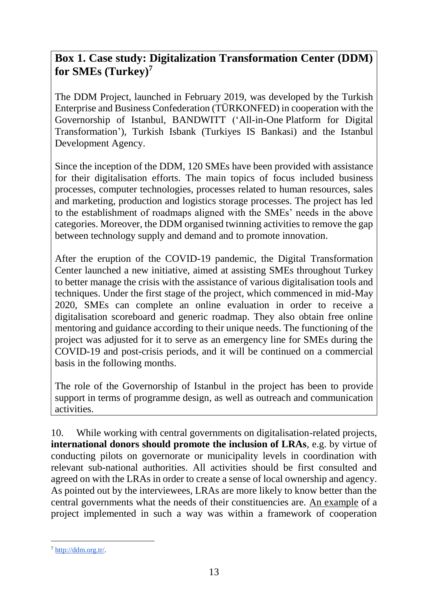### **Box 1. Case study: Digitalization Transformation Center (DDM) for SMEs (Turkey)<sup>7</sup>**

The DDM Project, launched in February 2019, was developed by the Turkish Enterprise and Business Confederation (TÜRKONFED) in cooperation with the Governorship of Istanbul, BANDWITT ('All-in-One Platform for Digital Transformation'), Turkish Isbank (Turkiyes IS Bankasi) and the Istanbul Development Agency.

Since the inception of the DDM, 120 SMEs have been provided with assistance for their digitalisation efforts. The main topics of focus included business processes, computer technologies, processes related to human resources, sales and marketing, production and logistics storage processes. The project has led to the establishment of roadmaps aligned with the SMEs' needs in the above categories. Moreover, the DDM organised twinning activities to remove the gap between technology supply and demand and to promote innovation.

After the eruption of the COVID-19 pandemic, the Digital Transformation Center launched a new initiative, aimed at assisting SMEs throughout Turkey to better manage the crisis with the assistance of various digitalisation tools and techniques. Under the first stage of the project, which commenced in mid-May 2020, SMEs can complete an online evaluation in order to receive a digitalisation scoreboard and generic roadmap. They also obtain free online mentoring and guidance according to their unique needs. The functioning of the project was adjusted for it to serve as an emergency line for SMEs during the COVID-19 and post-crisis periods, and it will be continued on a commercial basis in the following months.

The role of the Governorship of Istanbul in the project has been to provide support in terms of programme design, as well as outreach and communication activities.

10. While working with central governments on digitalisation-related projects, **international donors should promote the inclusion of LRAs**, e.g. by virtue of conducting pilots on governorate or municipality levels in coordination with relevant sub-national authorities. All activities should be first consulted and agreed on with the LRAs in order to create a sense of local ownership and agency. As pointed out by the interviewees, LRAs are more likely to know better than the central governments what the needs of their constituencies are. An example of a project implemented in such a way was within a framework of cooperation

 $\overline{a}$ <sup>7</sup> [http://ddm.org.tr/.](http://ddm.org.tr/)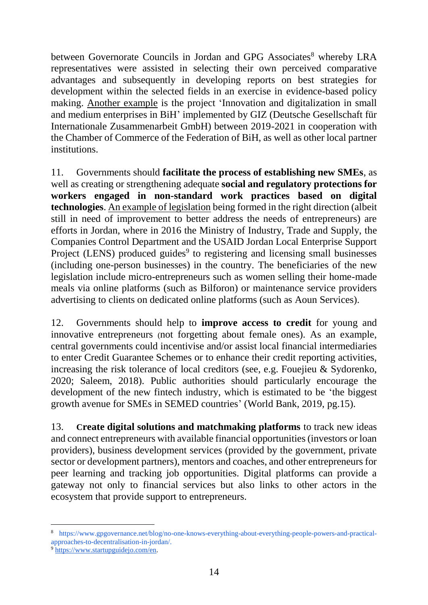between Governorate Councils in Jordan and GPG Associates<sup>8</sup> whereby LRA representatives were assisted in selecting their own perceived comparative advantages and subsequently in developing reports on best strategies for development within the selected fields in an exercise in evidence-based policy making. Another example is the project 'Innovation and digitalization in small and medium enterprises in BiH' implemented by GIZ (Deutsche Gesellschaft für Internationale Zusammenarbeit GmbH) between 2019-2021 in cooperation with the Chamber of Commerce of the Federation of BiH, as well as other local partner institutions.

11. Governments should **facilitate the process of establishing new SMEs**, as well as creating or strengthening adequate **social and regulatory protections for workers engaged in non-standard work practices based on digital technologies**. An example of legislation being formed in the right direction (albeit still in need of improvement to better address the needs of entrepreneurs) are efforts in Jordan, where in 2016 the Ministry of Industry, Trade and Supply, the Companies Control Department and the USAID Jordan Local Enterprise Support Project (LENS) produced guides<sup>9</sup> to registering and licensing small businesses (including one-person businesses) in the country. The beneficiaries of the new legislation include micro-entrepreneurs such as women selling their home-made meals via online platforms (such as Bilforon) or maintenance service providers advertising to clients on dedicated online platforms (such as Aoun Services).

12. Governments should help to **improve access to credit** for young and innovative entrepreneurs (not forgetting about female ones). As an example, central governments could incentivise and/or assist local financial intermediaries to enter Credit Guarantee Schemes or to enhance their credit reporting activities, increasing the risk tolerance of local creditors (see, e.g. Fouejieu & Sydorenko, 2020; Saleem, 2018). Public authorities should particularly encourage the development of the new fintech industry, which is estimated to be 'the biggest growth avenue for SMEs in SEMED countries' (World Bank, 2019, pg.15).

13. **Create digital solutions and matchmaking platforms** to track new ideas and connect entrepreneurs with available financial opportunities (investors or loan providers), business development services (provided by the government, private sector or development partners), mentors and coaches, and other entrepreneurs for peer learning and tracking job opportunities. Digital platforms can provide a gateway not only to financial services but also links to other actors in the ecosystem that provide support to entrepreneurs.

l

<sup>8</sup> [https://www.gpgovernance.net/blog/no-one-knows-everything-about-everything-people-powers-and-practical](https://www.gpgovernance.net/blog/no-one-knows-everything-about-everything-people-powers-and-practical-approaches-to-decentralisation-in-jordan/)[approaches-to-decentralisation-in-jordan/.](https://www.gpgovernance.net/blog/no-one-knows-everything-about-everything-people-powers-and-practical-approaches-to-decentralisation-in-jordan/)

<sup>9</sup> [https://www.startupguidejo.com/en.](https://www.startupguidejo.com/en)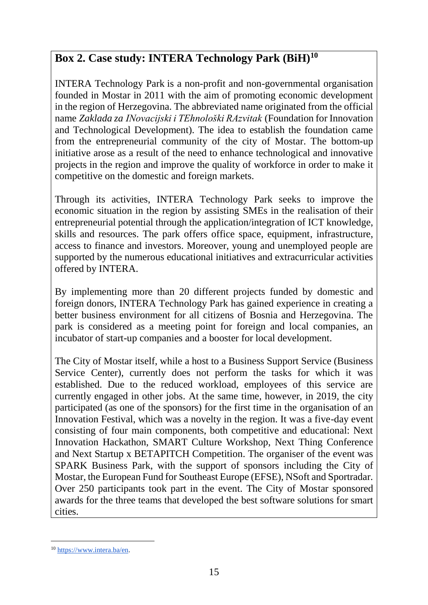### **Box 2. Case study: INTERA Technology Park (BiH)<sup>10</sup>**

INTERA Technology Park is a non-profit and non-governmental organisation founded in Mostar in 2011 with the aim of promoting economic development in the region of Herzegovina. The abbreviated name originated from the official name *Zaklada za INovacijski i TEhnološki RAzvitak* (Foundation for Innovation and Technological Development). The idea to establish the foundation came from the entrepreneurial community of the city of Mostar. The bottom-up initiative arose as a result of the need to enhance technological and innovative projects in the region and improve the quality of workforce in order to make it competitive on the domestic and foreign markets.

Through its activities, INTERA Technology Park seeks to improve the economic situation in the region by assisting SMEs in the realisation of their entrepreneurial potential through the application/integration of ICT knowledge, skills and resources. The park offers office space, equipment, infrastructure, access to finance and investors. Moreover, young and unemployed people are supported by the numerous educational initiatives and extracurricular activities offered by INTERA.

By implementing more than 20 different projects funded by domestic and foreign donors, INTERA Technology Park has gained experience in creating a better business environment for all citizens of Bosnia and Herzegovina. The park is considered as a meeting point for foreign and local companies, an incubator of start-up companies and a booster for local development.

The City of Mostar itself, while a host to a Business Support Service (Business Service Center), currently does not perform the tasks for which it was established. Due to the reduced workload, employees of this service are currently engaged in other jobs. At the same time, however, in 2019, the city participated (as one of the sponsors) for the first time in the organisation of an Innovation Festival, which was a novelty in the region. It was a five-day event consisting of four main components, both competitive and educational: Next Innovation Hackathon, SMART Culture Workshop, Next Thing Conference and Next Startup x BETAPITCH Competition. The organiser of the event was SPARK Business Park, with the support of sponsors including the City of Mostar, the European Fund for Southeast Europe (EFSE), NSoft and Sportradar. Over 250 participants took part in the event. The City of Mostar sponsored awards for the three teams that developed the best software solutions for smart cities.

 $\overline{a}$ <sup>10</sup> [https://www.intera.ba/en.](https://www.intera.ba/en)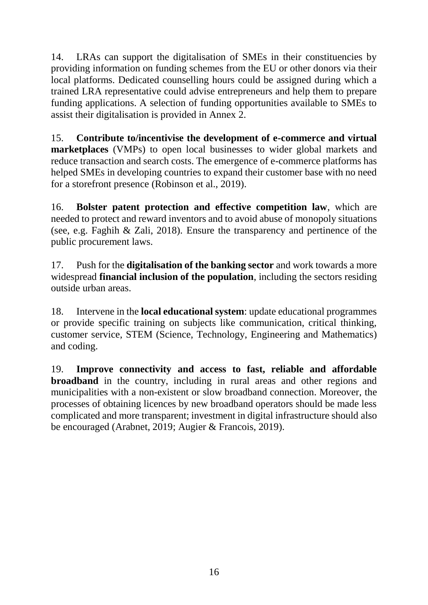14. LRAs can support the digitalisation of SMEs in their constituencies by providing information on funding schemes from the EU or other donors via their local platforms. Dedicated counselling hours could be assigned during which a trained LRA representative could advise entrepreneurs and help them to prepare funding applications. A selection of funding opportunities available to SMEs to assist their digitalisation is provided in Annex 2.

15. **Contribute to/incentivise the development of e-commerce and virtual marketplaces** (VMPs) to open local businesses to wider global markets and reduce transaction and search costs. The emergence of e-commerce platforms has helped SMEs in developing countries to expand their customer base with no need for a storefront presence (Robinson et al., 2019).

16. **Bolster patent protection and effective competition law**, which are needed to protect and reward inventors and to avoid abuse of monopoly situations (see, e.g. Faghih & Zali, 2018). Ensure the transparency and pertinence of the public procurement laws.

17. Push for the **digitalisation of the banking sector** and work towards a more widespread **financial inclusion of the population**, including the sectors residing outside urban areas.

18. Intervene in the **local educational system**: update educational programmes or provide specific training on subjects like communication, critical thinking, customer service, STEM (Science, Technology, Engineering and Mathematics) and coding.

19. **Improve connectivity and access to fast, reliable and affordable broadband** in the country, including in rural areas and other regions and municipalities with a non-existent or slow broadband connection. Moreover, the processes of obtaining licences by new broadband operators should be made less complicated and more transparent; investment in digital infrastructure should also be encouraged (Arabnet, 2019; Augier & Francois, 2019).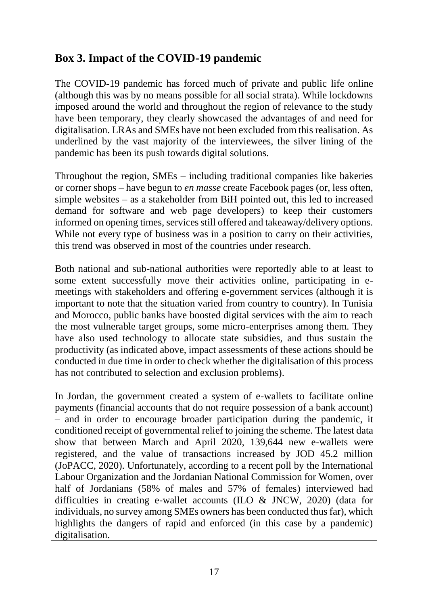### **Box 3. Impact of the COVID-19 pandemic**

The COVID-19 pandemic has forced much of private and public life online (although this was by no means possible for all social strata). While lockdowns imposed around the world and throughout the region of relevance to the study have been temporary, they clearly showcased the advantages of and need for digitalisation. LRAs and SMEs have not been excluded from this realisation. As underlined by the vast majority of the interviewees, the silver lining of the pandemic has been its push towards digital solutions.

Throughout the region, SMEs – including traditional companies like bakeries or corner shops – have begun to *en masse* create Facebook pages (or, less often, simple websites – as a stakeholder from BiH pointed out, this led to increased demand for software and web page developers) to keep their customers informed on opening times, services still offered and takeaway/delivery options. While not every type of business was in a position to carry on their activities, this trend was observed in most of the countries under research.

Both national and sub-national authorities were reportedly able to at least to some extent successfully move their activities online, participating in emeetings with stakeholders and offering e-government services (although it is important to note that the situation varied from country to country). In Tunisia and Morocco, public banks have boosted digital services with the aim to reach the most vulnerable target groups, some micro-enterprises among them. They have also used technology to allocate state subsidies, and thus sustain the productivity (as indicated above, impact assessments of these actions should be conducted in due time in order to check whether the digitalisation of this process has not contributed to selection and exclusion problems).

In Jordan, the government created a system of e-wallets to facilitate online payments (financial accounts that do not require possession of a bank account) – and in order to encourage broader participation during the pandemic, it conditioned receipt of governmental relief to joining the scheme. The latest data show that between March and April 2020, 139,644 new e-wallets were registered, and the value of transactions increased by JOD 45.2 million (JoPACC, 2020). Unfortunately, according to a recent poll by the International Labour Organization and the Jordanian National Commission for Women, over half of Jordanians (58% of males and 57% of females) interviewed had difficulties in creating e-wallet accounts (ILO & JNCW, 2020) (data for individuals, no survey among SMEs owners has been conducted thus far), which highlights the dangers of rapid and enforced (in this case by a pandemic) digitalisation.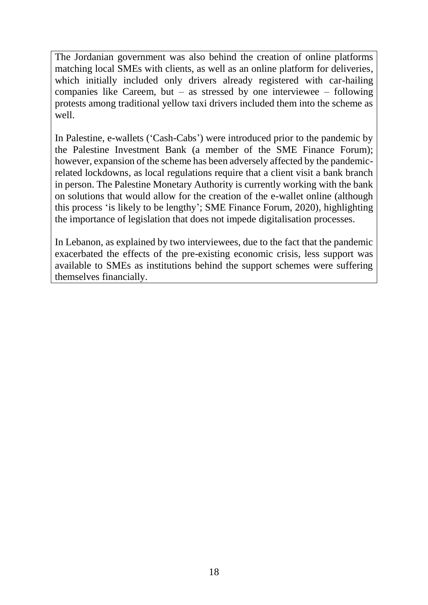The Jordanian government was also behind the creation of online platforms matching local SMEs with clients, as well as an online platform for deliveries, which initially included only drivers already registered with car-hailing companies like Careem, but – as stressed by one interviewee – following protests among traditional yellow taxi drivers included them into the scheme as well.

In Palestine, e-wallets ('Cash-Cabs') were introduced prior to the pandemic by the Palestine Investment Bank (a member of the SME Finance Forum); however, expansion of the scheme has been adversely affected by the pandemicrelated lockdowns, as local regulations require that a client visit a bank branch in person. The Palestine Monetary Authority is currently working with the bank on solutions that would allow for the creation of the e-wallet online (although this process 'is likely to be lengthy'; SME Finance Forum, 2020), highlighting the importance of legislation that does not impede digitalisation processes.

<span id="page-27-0"></span>In Lebanon, as explained by two interviewees, due to the fact that the pandemic exacerbated the effects of the pre-existing economic crisis, less support was available to SMEs as institutions behind the support schemes were suffering themselves financially.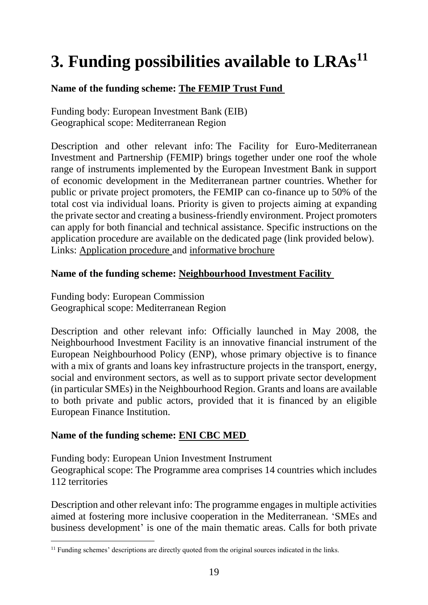## **3. Funding possibilities available to LRAs<sup>11</sup>**

#### **Name of the funding scheme: [The FEMIP Trust Fund](https://www.eib.org/en/projects/regions/med/trust-fund/index.htm)**

Funding body: European Investment Bank (EIB) Geographical scope: Mediterranean Region

Description and other relevant info: The Facility for Euro-Mediterranean Investment and Partnership (FEMIP) brings together under one roof the whole range of instruments implemented by the European Investment Bank in support of economic development in the Mediterranean partner countries. Whether for public or private project promoters, the FEMIP can co-finance up to 50% of the total cost via individual loans. Priority is given to projects aiming at expanding the private sector and creating a business-friendly environment. Project promoters can apply for both financial and technical assistance. Specific instructions on the application procedure are available on the dedicated page (link provided below). Links: [Application procedure](https://www.eib.org/en/projects/regions/med/funding/index.htm) and [informative brochure](https://www.eib.org/attachments/country/femip_instruments_en.pdf)

#### **Name of the funding scheme: [Neighbourhood Investment Facility](https://ec.europa.eu/neighbourhood-enlargement/neighbourhood/neighbourhood-wide/neighbourhood-investment-platform_en#:~:text=Officially%20launched%20in%202008%20as,ENP)%20in%20sectors%20such%20as)**

Funding body: European Commission Geographical scope: Mediterranean Region

Description and other relevant info: Officially launched in May 2008, the Neighbourhood Investment Facility is an innovative financial instrument of the European Neighbourhood Policy (ENP), whose primary objective is to finance with a mix of grants and loans key infrastructure projects in the transport, energy, social and environment sectors, as well as to support private sector development (in particular SMEs) in the Neighbourhood Region. Grants and loans are available to both private and public actors, provided that it is financed by an eligible European Finance Institution.

#### **Name of the funding scheme: [ENI CBC MED](http://www.enicbcmed.eu/about-us/cooperation-area)**

Funding body: European Union Investment Instrument Geographical scope: The Programme area comprises 14 countries which includes 112 territories

Description and other relevant info: The programme engages in multiple activities aimed at fostering more inclusive cooperation in the Mediterranean. 'SMEs and business development' is one of the main thematic areas. Calls for both private

 $\overline{a}$  $11$  Funding schemes' descriptions are directly quoted from the original sources indicated in the links.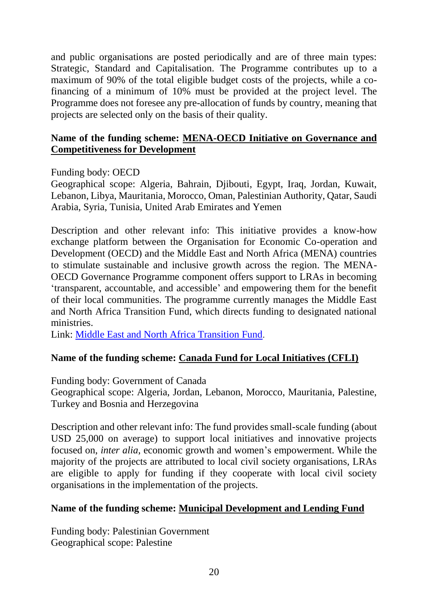and public organisations are posted periodically and are of three main types: Strategic, Standard and Capitalisation. The Programme contributes up to a maximum of 90% of the total eligible budget costs of the projects, while a cofinancing of a minimum of 10% must be provided at the project level. The Programme does not foresee any pre-allocation of funds by country, meaning that projects are selected only on the basis of their quality.

#### **Name of the funding scheme: [MENA-OECD Initiative on Governance and](https://www.oecd.org/mena/governance/)  [Competitiveness for Development](https://www.oecd.org/mena/governance/)**

#### Funding body: OECD

Geographical scope: Algeria, Bahrain, Djibouti, Egypt, Iraq, Jordan, Kuwait, Lebanon, Libya, Mauritania, Morocco, Oman, Palestinian Authority, Qatar, Saudi Arabia, Syria, Tunisia, United Arab Emirates and Yemen

Description and other relevant info: This initiative provides a know-how exchange platform between the Organisation for Economic Co-operation and Development (OECD) and the Middle East and North Africa (MENA) countries to stimulate sustainable and inclusive growth across the region. The MENA-OECD Governance Programme component offers support to LRAs in becoming 'transparent, accountable, and accessible' and empowering them for the benefit of their local communities. The programme currently manages the Middle East and North Africa Transition Fund, which directs funding to designated national ministries.

Link: [Middle East and North Africa Transition Fund](https://www.menatransitionfund.org/).

#### **Name of the funding scheme: [Canada Fund for Local](https://www.international.gc.ca/world-monde/funding-financement/cfli-fcil/index.aspx?lang=eng) Initiatives (CFLI)**

Funding body: Government of Canada

Geographical scope: Algeria, Jordan, Lebanon, Morocco, Mauritania, Palestine, Turkey and Bosnia and Herzegovina

Description and other relevant info: The fund provides small-scale funding (about USD 25,000 on average) to support local initiatives and innovative projects focused on, *inter alia*, economic growth and women's empowerment. While the majority of the projects are attributed to local civil society organisations, LRAs are eligible to apply for funding if they cooperate with local civil society organisations in the implementation of the projects.

#### **Name of the funding scheme: [Municipal Development and Lending Fund](https://www.mdlf.org.ps/default.aspx?LangID=en)**

Funding body: Palestinian Government Geographical scope: Palestine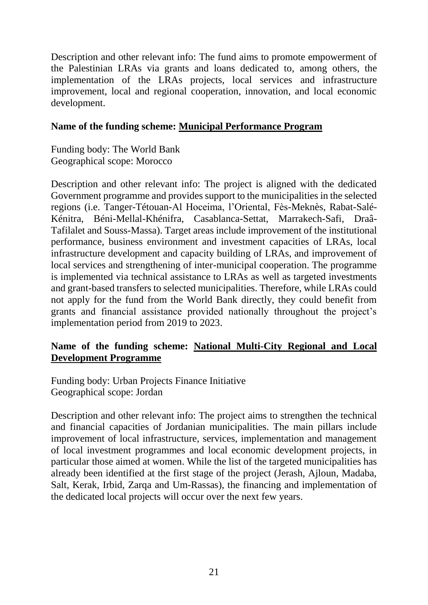Description and other relevant info: The fund aims to promote empowerment of the Palestinian LRAs via grants and loans dedicated to, among others, the implementation of the LRAs projects, local services and infrastructure improvement, local and regional cooperation, innovation, and local economic development.

#### **Name of the funding scheme: [Municipal Performance Program](http://documents.worldbank.org/curated/en/571161547760729179/Concept-Stage-Program-Information-Document-PID-Municipal-Performance-Program-P168147)**

Funding body: The World Bank Geographical scope: Morocco

Description and other relevant info: The project is aligned with the dedicated Government programme and provides support to the municipalities in the selected regions (i.e. Tanger-Tétouan-Al Hoceima, l'Oriental, Fès-Meknès, Rabat-Salé-Kénitra, Béni-Mellal-Khénifra, Casablanca-Settat, Marrakech-Safi, Draâ-Tafilalet and Souss-Massa). Target areas include improvement of the institutional performance, business environment and investment capacities of LRAs, local infrastructure development and capacity building of LRAs, and improvement of local services and strengthening of inter-municipal cooperation. The programme is implemented via technical assistance to LRAs as well as targeted investments and grant-based transfers to selected municipalities. Therefore, while LRAs could not apply for the fund from the World Bank directly, they could benefit from grants and financial assistance provided nationally throughout the project's implementation period from 2019 to 2023.

#### **Name of the funding scheme: [National Multi-City Regional](http://upfi-med.eib.org/en/projects/national-multi-city-regional-and-local-development-programme-phase-2/) and Local [Development Programme](http://upfi-med.eib.org/en/projects/national-multi-city-regional-and-local-development-programme-phase-2/)**

Funding body: Urban Projects Finance Initiative Geographical scope: Jordan

Description and other relevant info: The project aims to strengthen the technical and financial capacities of Jordanian municipalities. The main pillars include improvement of local infrastructure, services, implementation and management of local investment programmes and local economic development projects, in particular those aimed at women. While the list of the targeted municipalities has already been identified at the first stage of the project (Jerash, Ajloun, Madaba, Salt, Kerak, Irbid, Zarqa and Um-Rassas), the financing and implementation of the dedicated local projects will occur over the next few years.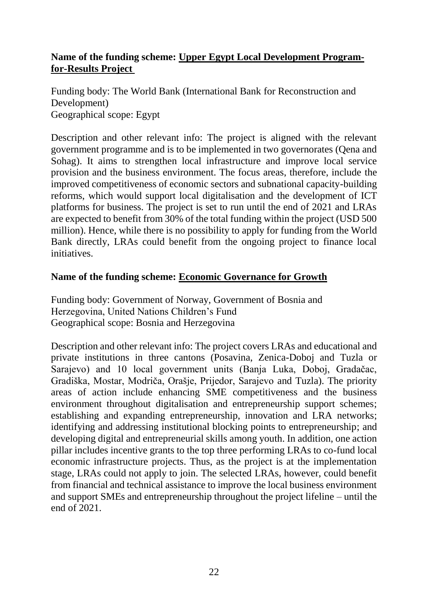#### **Name of the funding scheme: [Upper Egypt Local Development Program](https://projects.worldbank.org/en/projects-operations/project-detail/P157395?lang=en&tab=overview)[for-Results Project](https://projects.worldbank.org/en/projects-operations/project-detail/P157395?lang=en&tab=overview)**

Funding body: The World Bank (International Bank for Reconstruction and Development) Geographical scope: Egypt

Description and other relevant info: The project is aligned with the relevant government programme and is to be implemented in two governorates (Qena and Sohag). It aims to strengthen local infrastructure and improve local service provision and the business environment. The focus areas, therefore, include the improved competitiveness of economic sectors and subnational capacity-building reforms, which would support local digitalisation and the development of ICT platforms for business. The project is set to run until the end of 2021 and LRAs are expected to benefit from 30% of the total funding within the project (USD 500 million). Hence, while there is no possibility to apply for funding from the World Bank directly, LRAs could benefit from the ongoing project to finance local initiatives.

#### **Name of the funding scheme: [Economic Governance for Growth](https://open.undp.org/projects/00113375)**

Funding body: Government of Norway, Government of Bosnia and Herzegovina, United Nations Children's Fund Geographical scope: Bosnia and Herzegovina

Description and other relevant info: The project covers LRAs and educational and private institutions in three cantons (Posavina, Zenica-Doboj and Tuzla or Sarajevo) and 10 local government units (Banja Luka, Doboj, Gradačac, Gradiška, Mostar, Modriča, Orašje, Prijedor, Sarajevo and Tuzla). The priority areas of action include enhancing SME competitiveness and the business environment throughout digitalisation and entrepreneurship support schemes; establishing and expanding entrepreneurship, innovation and LRA networks; identifying and addressing institutional blocking points to entrepreneurship; and developing digital and entrepreneurial skills among youth. In addition, one action pillar includes incentive grants to the top three performing LRAs to co-fund local economic infrastructure projects. Thus, as the project is at the implementation stage, LRAs could not apply to join. The selected LRAs, however, could benefit from financial and technical assistance to improve the local business environment and support SMEs and entrepreneurship throughout the project lifeline – until the end of 2021.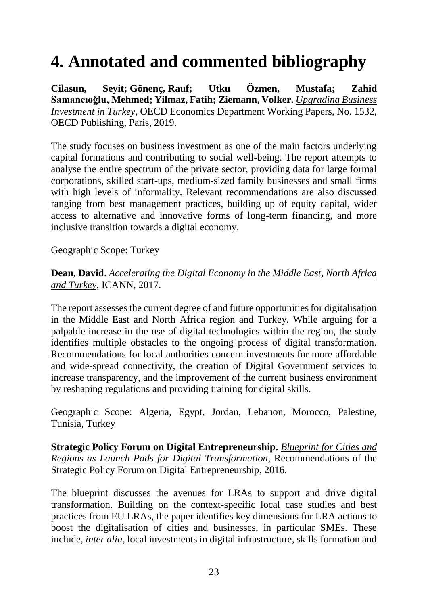## <span id="page-32-0"></span>**4. Annotated and commented bibliography**

**Cilasun, Seyit; Gönenç, Rauf; Utku Özmen, Mustafa; Zahid Samancıoǧlu, Mehmed; Yilmaz, Fatih; Ziemann, Volker.** *[Upgrading Business](https://doi.org/10.1787/537fc88b-en)  [Investment in Turkey](https://doi.org/10.1787/537fc88b-en)*, OECD Economics Department Working Papers, No. 1532, OECD Publishing, Paris, 2019.

The study focuses on business investment as one of the main factors underlying capital formations and contributing to social well-being. The report attempts to analyse the entire spectrum of the private sector, providing data for large formal corporations, skilled start-ups, medium-sized family businesses and small firms with high levels of informality. Relevant recommendations are also discussed ranging from best management practices, building up of equity capital, wider access to alternative and innovative forms of long-term financing, and more inclusive transition towards a digital economy.

Geographic Scope: Turkey

#### **Dean, David**. *[Accelerating the Digital Economy in the Middle East, North Africa](https://www.icann.org/en/system/files/files/accelerating-digital-economy-report-09oct17-en.pdf)  [and Turkey,](https://www.icann.org/en/system/files/files/accelerating-digital-economy-report-09oct17-en.pdf)* ICANN, 2017.

The report assesses the current degree of and future opportunities for digitalisation in the Middle East and North Africa region and Turkey. While arguing for a palpable increase in the use of digital technologies within the region, the study identifies multiple obstacles to the ongoing process of digital transformation. Recommendations for local authorities concern investments for more affordable and wide-spread connectivity, the creation of Digital Government services to increase transparency, and the improvement of the current business environment by reshaping regulations and providing training for digital skills.

Geographic Scope: Algeria, Egypt, Jordan, Lebanon, Morocco, Palestine, Tunisia, Turkey

**Strategic Policy Forum on Digital Entrepreneurship.** *[Blueprint for Cities and](https://ec.europa.eu/growth/content/blueprint-cities-and-regions-launch-pads-digital-transformation-0_en)  [Regions as Launch Pads for Digital Transformation](https://ec.europa.eu/growth/content/blueprint-cities-and-regions-launch-pads-digital-transformation-0_en)*, Recommendations of the Strategic Policy Forum on Digital Entrepreneurship, 2016.

The blueprint discusses the avenues for LRAs to support and drive digital transformation. Building on the context-specific local case studies and best practices from EU LRAs, the paper identifies key dimensions for LRA actions to boost the digitalisation of cities and businesses, in particular SMEs. These include, *inter alia*, local investments in digital infrastructure, skills formation and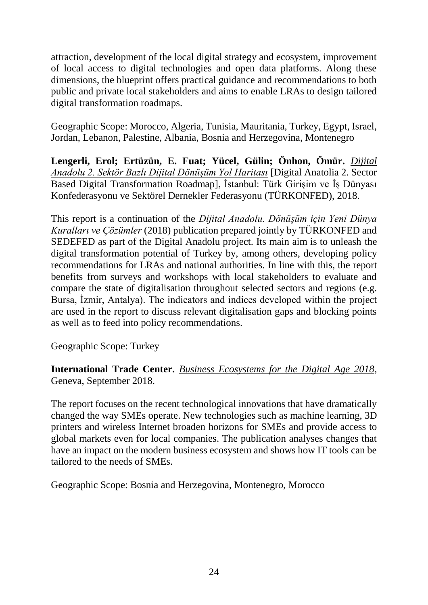attraction, development of the local digital strategy and ecosystem, improvement of local access to digital technologies and open data platforms. Along these dimensions, the blueprint offers practical guidance and recommendations to both public and private local stakeholders and aims to enable LRAs to design tailored digital transformation roadmaps.

Geographic Scope: Morocco, Algeria, Tunisia, Mauritania, Turkey, Egypt, Israel, Jordan, Lebanon, Palestine, Albania, Bosnia and Herzegovina, Montenegro

**Lengerli, Erol; Ertüzün, E. Fuat; Yücel, Gülin; Önhon, Ömür.** *[Dijital](http://turkonfed.org/detay/1950/dijital-anadolu-2-sektor-bazli-dijital-donusum-yol-haritasi/)  [Anadolu 2. Sektör Bazlı Dijital Dönüşüm Yol Haritası](http://turkonfed.org/detay/1950/dijital-anadolu-2-sektor-bazli-dijital-donusum-yol-haritasi/)* [Digital Anatolia 2. Sector Based Digital Transformation Roadmap], İstanbul: Türk Girişim ve İş Dünyası Konfederasyonu ve Sektörel Dernekler Federasyonu (TÜRKONFED), 2018.

This report is a continuation of the *Dijital Anadolu. Dönüşüm için Yeni Dünya Kuralları ve Çözümler* (2018) publication prepared jointly by TÜRKONFED and SEDEFED as part of the Digital Anadolu project. Its main aim is to unleash the digital transformation potential of Turkey by, among others, developing policy recommendations for LRAs and national authorities. In line with this, the report benefits from surveys and workshops with local stakeholders to evaluate and compare the state of digitalisation throughout selected sectors and regions (e.g. Bursa, İzmir, Antalya). The indicators and indices developed within the project are used in the report to discuss relevant digitalisation gaps and blocking points as well as to feed into policy recommendations.

Geographic Scope: Turkey

**International Trade Center.** *[Business Ecosystems for the Digital Age 2018](http://www.intracen.org/uploadedFiles/intracenorg/Content/Publications/SMECO2018.pdf)*, Geneva, September 2018.

The report focuses on the recent technological innovations that have dramatically changed the way SMEs operate. New technologies such as machine learning, 3D printers and wireless Internet broaden horizons for SMEs and provide access to global markets even for local companies. The publication analyses changes that have an impact on the modern business ecosystem and shows how IT tools can be tailored to the needs of SMEs.

Geographic Scope: Bosnia and Herzegovina, Montenegro, Morocco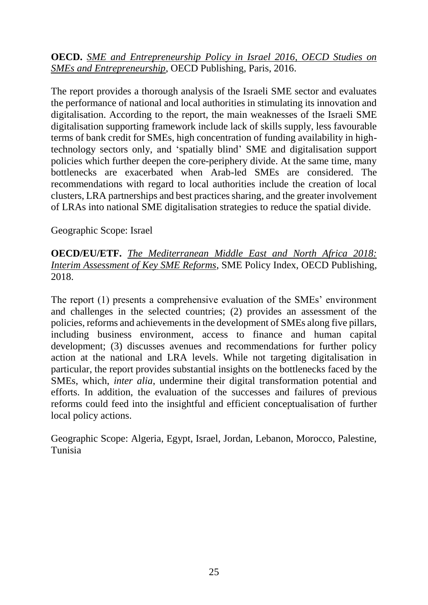**OECD.** *[SME and Entrepreneurship Policy in Israel 2016, OECD Studies on](https://doi.org/10.1787/9789264262324-en)  [SMEs and Entrepreneurship](https://doi.org/10.1787/9789264262324-en)*, OECD Publishing, Paris, 2016.

The report provides a thorough analysis of the Israeli SME sector and evaluates the performance of national and local authorities in stimulating its innovation and digitalisation. According to the report, the main weaknesses of the Israeli SME digitalisation supporting framework include lack of skills supply, less favourable terms of bank credit for SMEs, high concentration of funding availability in hightechnology sectors only, and 'spatially blind' SME and digitalisation support policies which further deepen the core-periphery divide. At the same time, many bottlenecks are exacerbated when Arab-led SMEs are considered. The recommendations with regard to local authorities include the creation of local clusters, LRA partnerships and best practices sharing, and the greater involvement of LRAs into national SME digitalisation strategies to reduce the spatial divide.

Geographic Scope: Israel

#### **OECD/EU/ETF.** *[The Mediterranean Middle East and North Africa 2018:](https://www.oecd-ilibrary.org/docserver/9789264304161-en.pdf?expires=1591797141&id=id&accname=guest&checksum=A9D102F4EAF2B903FF2B35E21E0C796E)  [Interim Assessment of Key SME Reforms](https://www.oecd-ilibrary.org/docserver/9789264304161-en.pdf?expires=1591797141&id=id&accname=guest&checksum=A9D102F4EAF2B903FF2B35E21E0C796E)*, SME Policy Index, OECD Publishing, 2018.

The report (1) presents a comprehensive evaluation of the SMEs' environment and challenges in the selected countries; (2) provides an assessment of the policies, reforms and achievements in the development of SMEs along five pillars, including business environment, access to finance and human capital development; (3) discusses avenues and recommendations for further policy action at the national and LRA levels. While not targeting digitalisation in particular, the report provides substantial insights on the bottlenecks faced by the SMEs, which, *inter alia*, undermine their digital transformation potential and efforts. In addition, the evaluation of the successes and failures of previous reforms could feed into the insightful and efficient conceptualisation of further local policy actions.

Geographic Scope: Algeria, Egypt, Israel, Jordan, Lebanon, Morocco, Palestine, Tunisia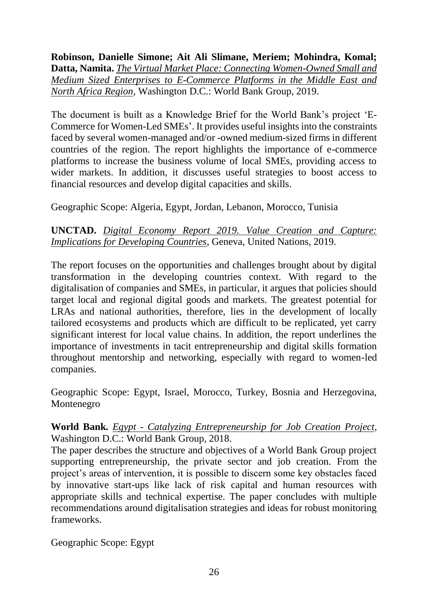**Robinson, Danielle Simone; Ait Ali Slimane, Meriem; Mohindra, Komal; Datta, Namita.** *[The Virtual Market Place: Connecting Women-Owned Small and](http://documents.worldbank.org/curated/en/300431583135784038/The-Virtual-Market-Place-Connecting-Women-Owned-Small-and-Medium-Sized-Enterprises-to-E-Commerce-Platforms-in-Middle-East-and-North-Africa-Region)  Medium Sized Enterprises [to E-Commerce Platforms in the Middle East and](http://documents.worldbank.org/curated/en/300431583135784038/The-Virtual-Market-Place-Connecting-Women-Owned-Small-and-Medium-Sized-Enterprises-to-E-Commerce-Platforms-in-Middle-East-and-North-Africa-Region)  [North Africa Region](http://documents.worldbank.org/curated/en/300431583135784038/The-Virtual-Market-Place-Connecting-Women-Owned-Small-and-Medium-Sized-Enterprises-to-E-Commerce-Platforms-in-Middle-East-and-North-Africa-Region)*, Washington D.C.: World Bank Group, 2019.

The document is built as a Knowledge Brief for the World Bank's project 'E-Commerce for Women-Led SMEs'. It provides useful insights into the constraints faced by several women-managed and/or -owned medium-sized firms in different countries of the region. The report highlights the importance of e-commerce platforms to increase the business volume of local SMEs, providing access to wider markets. In addition, it discusses useful strategies to boost access to financial resources and develop digital capacities and skills.

Geographic Scope: Algeria, Egypt, Jordan, Lebanon, Morocco, Tunisia

#### **UNCTAD.** *[Digital Economy Report 2019. Value Creation and Capture:](https://unctad.org/en/pages/PublicationWebflyer.aspx?publicationid=2466)  [Implications for Developing Countries,](https://unctad.org/en/pages/PublicationWebflyer.aspx?publicationid=2466) Geneva, United Nations, 2019.*

The report focuses on the opportunities and challenges brought about by digital transformation in the developing countries context. With regard to the digitalisation of companies and SMEs, in particular, it argues that policies should target local and regional digital goods and markets. The greatest potential for LRAs and national authorities, therefore, lies in the development of locally tailored ecosystems and products which are difficult to be replicated, yet carry significant interest for local value chains. In addition, the report underlines the importance of investments in tacit entrepreneurship and digital skills formation throughout mentorship and networking, especially with regard to women-led companies.

Geographic Scope: Egypt, Israel, Morocco, Turkey, Bosnia and Herzegovina, Montenegro

#### **World Bank.** *Egypt - [Catalyzing Entrepreneurship for Job Creation Project,](http://documents.worldbank.org/curated/en/904711555812046075/Egypt-Catalyzing-Entrepreneurship-for-Job-Creation-Project)*  Washington D.C.: World Bank Group, 2018.

The paper describes the structure and objectives of a World Bank Group project supporting entrepreneurship, the private sector and job creation. From the project's areas of intervention, it is possible to discern some key obstacles faced by innovative start-ups like lack of risk capital and human resources with appropriate skills and technical expertise. The paper concludes with multiple recommendations around digitalisation strategies and ideas for robust monitoring frameworks.

Geographic Scope: Egypt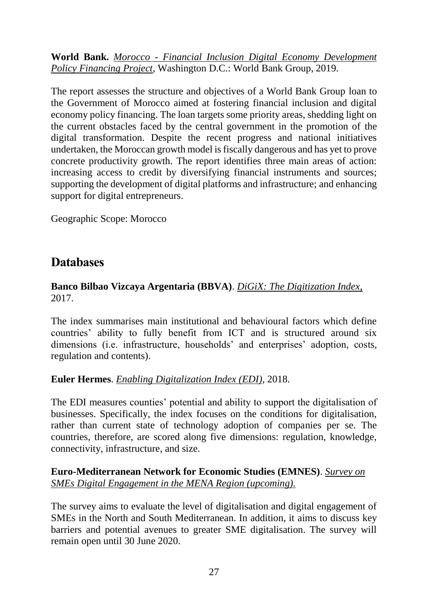**World Bank.** *Morocco - [Financial Inclusion Digital Economy Development](http://documents.worldbank.org/curated/en/930571550977295030/Morocco-Financial-Inclusion-Digital-Economy-Development-Policy-Financing-Project)  [Policy Financing Project,](http://documents.worldbank.org/curated/en/930571550977295030/Morocco-Financial-Inclusion-Digital-Economy-Development-Policy-Financing-Project)* Washington D.C.: World Bank Group, 2019.

The report assesses the structure and objectives of a World Bank Group loan to the Government of Morocco aimed at fostering financial inclusion and digital economy policy financing. The loan targets some priority areas, shedding light on the current obstacles faced by the central government in the promotion of the digital transformation. Despite the recent progress and national initiatives undertaken, the Moroccan growth model is fiscally dangerous and has yet to prove concrete productivity growth. The report identifies three main areas of action: increasing access to credit by diversifying financial instruments and sources; supporting the development of digital platforms and infrastructure; and enhancing support for digital entrepreneurs.

Geographic Scope: Morocco

### **Databases**

#### **Banco Bilbao Vizcaya Argentaria (BBVA)**. *DiGiX: The Digitization Index,* 2017.

The index summarises main institutional and behavioural factors which define countries' ability to fully benefit from ICT and is structured around six dimensions (i.e. infrastructure, households' and enterprises' adoption, costs, regulation and contents).

#### **Euler Hermes**. *[Enabling Digitalization Index \(EDI\)](https://www.eulerhermes.com/content/dam/onemarketing/ehndbx/eulerhermes_com/en_gl/erd/insightsimport/pdf/measuring-digitagility-the-enabling-digitalization-index-report-mar18.pdf)*, 2018.

The EDI measures counties' potential and ability to support the digitalisation of businesses. Specifically, the index focuses on the conditions for digitalisation, rather than current state of technology adoption of companies per se. The countries, therefore, are scored along five dimensions: regulation, knowledge, connectivity, infrastructure, and size.

**Euro-Mediterranean Network for Economic Studies (EMNES)**. *[Survey on](https://emnes.org/news/msmes-digital-engagement-in-the-mena-region-a-survey-by-emea-emnes/)  [SMEs Digital Engagement in the MENA Region \(upcoming\).](https://emnes.org/news/msmes-digital-engagement-in-the-mena-region-a-survey-by-emea-emnes/)*

The survey aims to evaluate the level of digitalisation and digital engagement of SMEs in the North and South Mediterranean. In addition, it aims to discuss key barriers and potential avenues to greater SME digitalisation. The survey will remain open until 30 June 2020.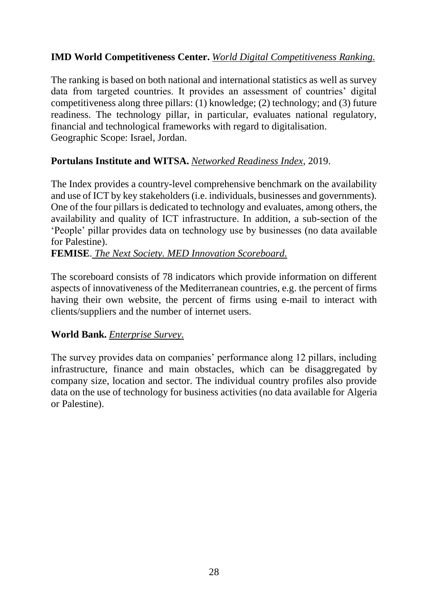#### **IMD World Competitiveness Center.** *[World Digital Competitiveness Ranking.](https://www.imd.org/wcc/world-competitiveness-center-rankings/world-digital-competitiveness-rankings-2019/)*

The ranking is based on both national and international statistics as well as survey data from targeted countries. It provides an assessment of countries' digital competitiveness along three pillars: (1) knowledge; (2) technology; and (3) future readiness. The technology pillar, in particular, evaluates national regulatory, financial and technological frameworks with regard to digitalisation. Geographic Scope: Israel, Jordan.

#### **Portulans Institute and WITSA.** *[Networked Readiness Index](https://networkreadinessindex.org/)*, 2019.

The Index provides a country-level comprehensive benchmark on the availability and use of ICT by key stakeholders (i.e. individuals, businesses and governments). One of the four pillars is dedicated to technology and evaluates, among others, the availability and quality of ICT infrastructure. In addition, a sub-section of the 'People' pillar provides data on technology use by businesses (no data available for Palestine).

#### **FEMISE**. *[The Next Society. MED Innovation Scoreboard.](https://www.thenextsociety.co/i-data)*

The scoreboard consists of 78 indicators which provide information on different aspects of innovativeness of the Mediterranean countries, e.g. the percent of firms having their own website, the percent of firms using e-mail to interact with clients/suppliers and the number of internet users.

#### **World Bank.** *[Enterprise Survey.](https://www.enterprisesurveys.org/)*

<span id="page-37-0"></span>The survey provides data on companies' performance along 12 pillars, including infrastructure, finance and main obstacles, which can be disaggregated by company size, location and sector. The individual country profiles also provide data on the use of technology for business activities (no data available for Algeria or Palestine).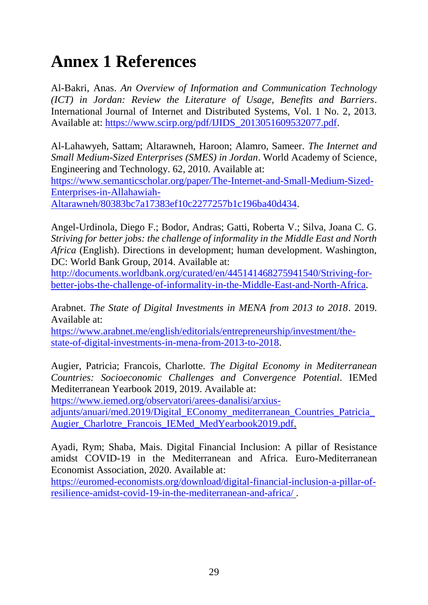## **Annex 1 References**

Al-Bakri, Anas. *An Overview of Information and Communication Technology (ICT) in Jordan: Review the Literature of Usage, Benefits and Barriers*. International Journal of Internet and Distributed Systems, Vol. 1 No. 2, 2013. Available at: [https://www.scirp.org/pdf/IJIDS\\_2013051609532077.pdf.](https://www.scirp.org/pdf/IJIDS_2013051609532077.pdf)

Al-Lahawyeh, Sattam; Altarawneh, Haroon; Alamro, Sameer. *The Internet and Small Medium-Sized Enterprises (SMES) in Jordan*. World Academy of Science, Engineering and Technology. 62, 2010. Available at:

[https://www.semanticscholar.org/paper/The-Internet-and-Small-Medium-Sized-](https://www.semanticscholar.org/paper/The-Internet-and-Small-Medium-Sized-Enterprises-in-Allahawiah-Altarawneh/80383bc7a17383ef10c2277257b1c196ba40d434)[Enterprises-in-Allahawiah-](https://www.semanticscholar.org/paper/The-Internet-and-Small-Medium-Sized-Enterprises-in-Allahawiah-Altarawneh/80383bc7a17383ef10c2277257b1c196ba40d434)

[Altarawneh/80383bc7a17383ef10c2277257b1c196ba40d434.](https://www.semanticscholar.org/paper/The-Internet-and-Small-Medium-Sized-Enterprises-in-Allahawiah-Altarawneh/80383bc7a17383ef10c2277257b1c196ba40d434)

Angel-Urdinola, Diego F.; Bodor, Andras; Gatti, Roberta V.; Silva, Joana C. G. *Striving for better jobs: the challenge of informality in the Middle East and North Africa* (English). Directions in development; human development. Washington, DC: World Bank Group, 2014. Available at:

[http://documents.worldbank.org/curated/en/445141468275941540/Striving-for](http://documents.worldbank.org/curated/en/445141468275941540/Striving-for-better-jobs-the-challenge-of-informality-in-the-Middle-East-and-North-Africa)[better-jobs-the-challenge-of-informality-in-the-Middle-East-and-North-Africa.](http://documents.worldbank.org/curated/en/445141468275941540/Striving-for-better-jobs-the-challenge-of-informality-in-the-Middle-East-and-North-Africa)

Arabnet. *The State of Digital Investments in MENA from 2013 to 2018*. 2019. Available at:

[https://www.arabnet.me/english/editorials/entrepreneurship/investment/the](https://www.arabnet.me/english/editorials/entrepreneurship/investment/the-state-of-digital-investments-in-mena-from-2013-to-2018)[state-of-digital-investments-in-mena-from-2013-to-2018.](https://www.arabnet.me/english/editorials/entrepreneurship/investment/the-state-of-digital-investments-in-mena-from-2013-to-2018)

Augier, Patricia; Francois, Charlotte. *The Digital Economy in Mediterranean Countries: Socioeconomic Challenges and Convergence Potential*. IEMed Mediterranean Yearbook 2019, 2019. Available at:

[https://www.iemed.org/observatori/arees-danalisi/arxius-](https://www.iemed.org/observatori/arees-danalisi/arxius-adjunts/anuari/med.2019/Digital_EConomy_mediterranean_Countries_Patricia_Augier_Charlotre_Francois_IEMed_MedYearbook2019.pdf)

[adjunts/anuari/med.2019/Digital\\_EConomy\\_mediterranean\\_Countries\\_Patricia\\_](https://www.iemed.org/observatori/arees-danalisi/arxius-adjunts/anuari/med.2019/Digital_EConomy_mediterranean_Countries_Patricia_Augier_Charlotre_Francois_IEMed_MedYearbook2019.pdf) [Augier\\_Charlotre\\_Francois\\_IEMed\\_MedYearbook2019.pdf.](https://www.iemed.org/observatori/arees-danalisi/arxius-adjunts/anuari/med.2019/Digital_EConomy_mediterranean_Countries_Patricia_Augier_Charlotre_Francois_IEMed_MedYearbook2019.pdf)

Ayadi, Rym; Shaba, Mais. Digital Financial Inclusion: A pillar of Resistance amidst COVID-19 in the Mediterranean and Africa. Euro-Mediterranean Economist Association, 2020. Available at:

[https://euromed-economists.org/download/digital-financial-inclusion-a-pillar-of](https://euromed-economists.org/download/digital-financial-inclusion-a-pillar-of-resilience-amidst-covid-19-in-the-mediterranean-and-africa/)[resilience-amidst-covid-19-in-the-mediterranean-and-africa/](https://euromed-economists.org/download/digital-financial-inclusion-a-pillar-of-resilience-amidst-covid-19-in-the-mediterranean-and-africa/) .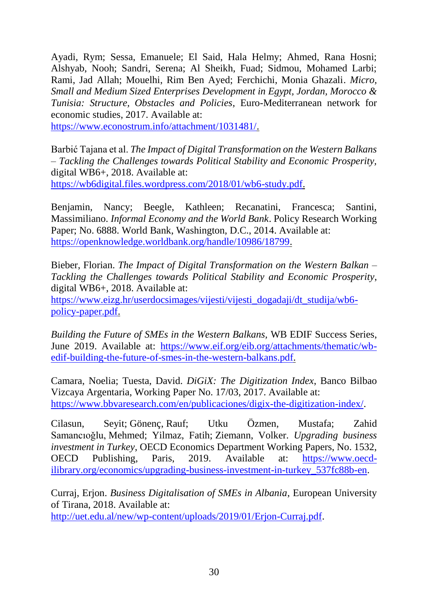Ayadi, Rym; Sessa, Emanuele; El Said, Hala Helmy; Ahmed, Rana Hosni; Alshyab, Nooh; Sandri, Serena; Al Sheikh, Fuad; Sidmou, Mohamed Larbi; Rami, Jad Allah; Mouelhi, Rim Ben Ayed; Ferchichi, Monia Ghazali. *Micro, Small and Medium Sized Enterprises Development in Egypt, Jordan, Morocco & Tunisia: Structure, Obstacles and Policies*[,](https://www.econostrum.info/tags/Euro-mediterranean+network+for+economic+studies/) Euro-Mediterranean network for economic studies, 2017. Available at:

[https://www.econostrum.info/attachment/1031481/.](https://www.econostrum.info/attachment/1031481/)

Barbić Tajana et al. *The Impact of Digital Transformation on the Western Balkans – Tackling the Challenges towards Political Stability and Economic Prosperity,*  digital WB6+, 2018. Available at: [https://wb6digital.files.wordpress.com/2018/01/wb6-study.pdf.](https://wb6digital.files.wordpress.com/2018/01/wb6-study.pdf)

Benjamin, Nancy; Beegle, Kathleen; Recanatini, Francesca; Santini, Massimiliano. *Informal Economy and the World Bank*. Policy Research Working Paper; No. 6888. World Bank, Washington, D.C., 2014. Available at: [https://openknowledge.worldbank.org/handle/10986/18799.](https://openknowledge.worldbank.org/handle/10986/18799)

Bieber, Florian. *The Impact of Digital Transformation on the Western Balkan – Tackling the Challenges towards Political Stability and Economic Prosperity*, digital WB6+, 2018. Available at[:](https://www.eizg.hr/userdocsimages/vijesti/vijesti_dogadaji/dt_studija/wb6-policy-paper.pdf)

[https://www.eizg.hr/userdocsimages/vijesti/vijesti\\_dogadaji/dt\\_studija/wb6](https://www.eizg.hr/userdocsimages/vijesti/vijesti_dogadaji/dt_studija/wb6-policy-paper.pdf) [policy-paper.pdf.](https://www.eizg.hr/userdocsimages/vijesti/vijesti_dogadaji/dt_studija/wb6-policy-paper.pdf)

*Building the Future of SMEs in the Western Balkans,* WB EDIF Success Series, June 2019. Available at[:](https://www.eif.org/eib.org/attachments/thematic/wb-edif-building-the-future-of-smes-in-the-western-balkans.pdf) [https://www.eif.org/eib.org/attachments/thematic/wb](https://www.eif.org/eib.org/attachments/thematic/wb-edif-building-the-future-of-smes-in-the-western-balkans.pdf)[edif-building-the-future-of-smes-in-the-western-balkans.pdf.](https://www.eif.org/eib.org/attachments/thematic/wb-edif-building-the-future-of-smes-in-the-western-balkans.pdf)

Camara, Noelia; Tuesta, David. *DiGiX: The Digitization Index*, Banco Bilbao Vizcaya Argentaria, Working Paper No. 17/03, 2017. Available at: [https://www.bbvaresearch.com/en/publicaciones/digix-the-digitization-index/.](https://www.bbvaresearch.com/en/publicaciones/digix-the-digitization-index/)

Cilasun, Seyit; Gönenç, Rauf; Utku Özmen, Mustafa; Zahid Samancıoǧlu, Mehmed; Yilmaz, Fatih; Ziemann, Volker. *Upgrading business investment in Turkey*, OECD Economics Department Working Papers, No. 1532, OECD Publishing, Paris, 2019. Available at: [https://www.oecd](https://www.oecd-ilibrary.org/economics/upgrading-business-investment-in-turkey_537fc88b-en)[ilibrary.org/economics/upgrading-business-investment-in-turkey\\_537fc88b-en.](https://www.oecd-ilibrary.org/economics/upgrading-business-investment-in-turkey_537fc88b-en)

Curraj, Erjon. *Business Digitalisation of SMEs in Albania*, European University of Tirana, 2018. Available at:

[http://uet.edu.al/new/wp-content/uploads/2019/01/Erjon-Curraj.pdf.](http://uet.edu.al/new/wp-content/uploads/2019/01/Erjon-Curraj.pdf)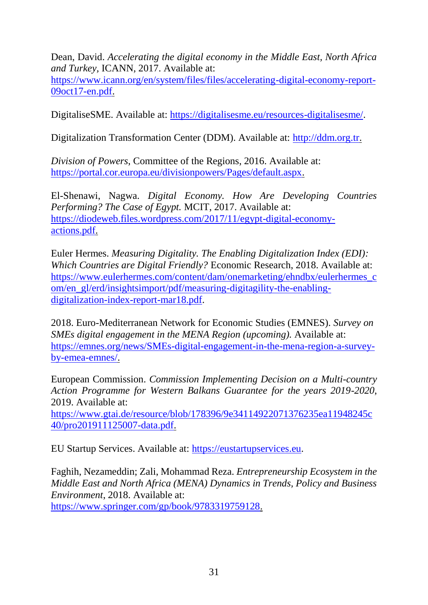Dean, David. *Accelerating the digital economy in the Middle East, North Africa and Turkey,* ICANN, 2017. Available at:

[https://www.icann.org/en/system/files/files/accelerating-digital-economy-report-](https://www.icann.org/en/system/files/files/accelerating-digital-economy-report-09oct17-en.pdf)[09oct17-en.pdf.](https://www.icann.org/en/system/files/files/accelerating-digital-economy-report-09oct17-en.pdf)

DigitaliseSME. Available at: [https://digitalisesme.eu/resources-digitalisesme/.](https://digitalisesme.eu/resources-digitalisesme/)

Digitalization Transformation Center (DDM). Available at: [http://ddm.org.tr.](http://ddm.org.tr/)

*Division of Powers*, Committee of the Regions, 2016. Available at: [https://portal.cor.europa.eu/divisionpowers/Pages/default.aspx.](https://portal.cor.europa.eu/divisionpowers/Pages/default.aspx)

El-Shenawi, Nagwa. *Digital Economy. How Are Developing Countries Performing? The Case of Egypt.* MCIT, 2017. Available at[:](https://diodeweb.files.wordpress.com/2017/11/egypt-digital-economy-actions.pdf) [https://diodeweb.files.wordpress.com/2017/11/egypt-digital-economy](https://diodeweb.files.wordpress.com/2017/11/egypt-digital-economy-actions.pdf)[actions.pdf.](https://diodeweb.files.wordpress.com/2017/11/egypt-digital-economy-actions.pdf)

Euler Hermes. *Measuring Digitality. The Enabling Digitalization Index (EDI): Which Countries are Digital Friendly?* Economic Research, 2018. Available at: [https://www.eulerhermes.com/content/dam/onemarketing/ehndbx/eulerhermes\\_c](https://www.eulerhermes.com/content/dam/onemarketing/ehndbx/eulerhermes_com/en_gl/erd/insightsimport/pdf/measuring-digitagility-the-enabling-digitalization-index-report-mar18.pdf) [om/en\\_gl/erd/insightsimport/pdf/measuring-digitagility-the-enabling](https://www.eulerhermes.com/content/dam/onemarketing/ehndbx/eulerhermes_com/en_gl/erd/insightsimport/pdf/measuring-digitagility-the-enabling-digitalization-index-report-mar18.pdf)[digitalization-index-report-mar18.pdf.](https://www.eulerhermes.com/content/dam/onemarketing/ehndbx/eulerhermes_com/en_gl/erd/insightsimport/pdf/measuring-digitagility-the-enabling-digitalization-index-report-mar18.pdf)

2018. Euro-Mediterranean Network for Economic Studies (EMNES). *Survey on SMEs digital engagement in the MENA Region (upcoming).* Available at: [https://emnes.org/news/SMEs-digital-engagement-in-the-mena-region-a-survey](https://emnes.org/news/SMEs-digital-engagement-in-the-mena-region-a-survey-by-emea-emnes/)[by-emea-emnes/.](https://emnes.org/news/SMEs-digital-engagement-in-the-mena-region-a-survey-by-emea-emnes/)

European Commission. *Commission Implementing Decision on a Multi-country Action Programme for Western Balkans Guarantee for the years 2019-2020*, 2019. Available at:

[https://www.gtai.de/resource/blob/178396/9e34114922071376235ea11948245c](https://www.gtai.de/resource/blob/178396/9e34114922071376235ea11948245c40/pro201911125007-data.pdf) [40/pro201911125007-data.pdf.](https://www.gtai.de/resource/blob/178396/9e34114922071376235ea11948245c40/pro201911125007-data.pdf)

EU Startup Services. Available at: [https://eustartupservices.eu.](https://eustartupservices.eu/)

Faghih, Nezameddin; Zali, Mohammad Reza. *Entrepreneurship Ecosystem in the Middle East and North Africa (MENA) Dynamics in Trends, Policy and Business Environment*, 2018. Available at: [https://www.springer.com/gp/book/9783319759128.](https://www.springer.com/gp/book/9783319759128)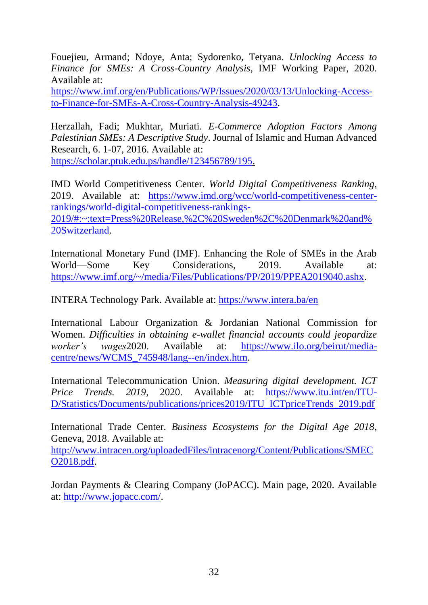Fouejieu, Armand; Ndoye, Anta; Sydorenko, Tetyana. *Unlocking Access to Finance for SMEs: A Cross-Country Analysis*, IMF Working Paper, 2020. Available at:

[https://www.imf.org/en/Publications/WP/Issues/2020/03/13/Unlocking-Access](https://www.imf.org/en/Publications/WP/Issues/2020/03/13/Unlocking-Access-to-Finance-for-SMEs-A-Cross-Country-Analysis-49243)[to-Finance-for-SMEs-A-Cross-Country-Analysis-49243.](https://www.imf.org/en/Publications/WP/Issues/2020/03/13/Unlocking-Access-to-Finance-for-SMEs-A-Cross-Country-Analysis-49243)

Herzallah, Fadi; Mukhtar, Muriati. *E-Commerce Adoption Factors Among Palestinian SMEs: A Descriptive Study*. Journal of Islamic and Human Advanced Research, 6. 1-07, 2016. Available at: [https://scholar.ptuk.edu.ps/handle/123456789/195.](https://scholar.ptuk.edu.ps/handle/123456789/195)

IMD World Competitiveness Center. *World Digital Competitiveness Ranking*, 2019. Available at: [https://www.imd.org/wcc/world-competitiveness-center](https://www.imd.org/wcc/world-competitiveness-center-rankings/world-digital-competitiveness-rankings-2019/#:~:text=Press%20Release,%2C%20Sweden%2C%20Denmark%20and%20Switzerland)[rankings/world-digital-competitiveness-rankings-](https://www.imd.org/wcc/world-competitiveness-center-rankings/world-digital-competitiveness-rankings-2019/#:~:text=Press%20Release,%2C%20Sweden%2C%20Denmark%20and%20Switzerland)[2019/#:~:text=Press%20Release,%2C%20Sweden%2C%20Denmark%20and%](https://www.imd.org/wcc/world-competitiveness-center-rankings/world-digital-competitiveness-rankings-2019/#:~:text=Press%20Release,%2C%20Sweden%2C%20Denmark%20and%20Switzerland) [20Switzerland.](https://www.imd.org/wcc/world-competitiveness-center-rankings/world-digital-competitiveness-rankings-2019/#:~:text=Press%20Release,%2C%20Sweden%2C%20Denmark%20and%20Switzerland)

International Monetary Fund (IMF). Enhancing the Role of SMEs in the Arab World—Some Key Considerations, 2019. Available at: [https://www.imf.org/~/media/Files/Publications/PP/2019/PPEA2019040.ashx.](https://www.imf.org/~/media/Files/Publications/PP/2019/PPEA2019040.ashx)

INTERA Technology Park. Available at:<https://www.intera.ba/en>

International Labour Organization & Jordanian National Commission for Women. *Difficulties in obtaining e-wallet financial accounts could jeopardize worker's wages*2020. Available at: [https://www.ilo.org/beirut/media](https://www.ilo.org/beirut/media-centre/news/WCMS_745948/lang--en/index.htm)[centre/news/WCMS\\_745948/lang--en/index.htm.](https://www.ilo.org/beirut/media-centre/news/WCMS_745948/lang--en/index.htm)

International Telecommunication Union. *Measuring digital development. ICT Price Trends. 2019.* 2020. Available at: [https://www.itu.int/en/ITU-](https://www.itu.int/en/ITU-D/Statistics/Documents/publications/prices2019/ITU_ICTpriceTrends_2019.pdf)[D/Statistics/Documents/publications/prices2019/ITU\\_ICTpriceTrends\\_2019.pdf](https://www.itu.int/en/ITU-D/Statistics/Documents/publications/prices2019/ITU_ICTpriceTrends_2019.pdf)

International Trade Center. *Business Ecosystems for the Digital Age 2018*, Geneva, 2018. Available at:

[http://www.intracen.org/uploadedFiles/intracenorg/Content/Publications/SMEC](http://www.intracen.org/uploadedFiles/intracenorg/Content/Publications/SMECO2018.pdf) [O2018.pdf.](http://www.intracen.org/uploadedFiles/intracenorg/Content/Publications/SMECO2018.pdf)

Jordan Payments & Clearing Company (JoPACC). Main page, 2020. Available at: [http://www.jopacc.com/.](http://www.jopacc.com/)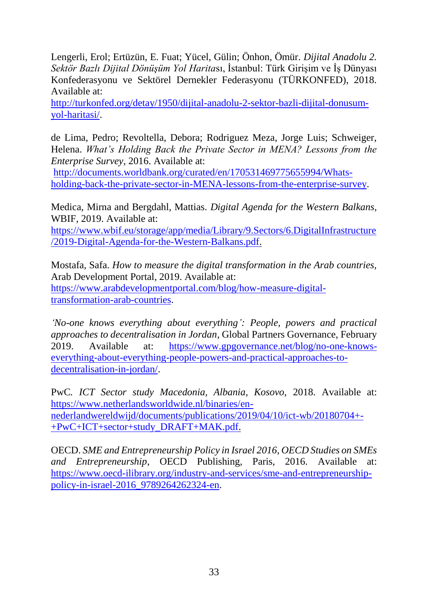Lengerli, Erol; Ertüzün, E. Fuat; Yücel, Gülin; Önhon, Ömür. *Dijital Anadolu 2. Sektör Bazlı Dijital Dönüşüm Yol Harita*sı, İstanbul: Türk Girişim ve İş Dünyası Konfederasyonu ve Sektörel Dernekler Federasyonu (TÜRKONFED), 2018. Available at:

[http://turkonfed.org/detay/1950/dijital-anadolu-2-sektor-bazli-dijital-donusum](http://turkonfed.org/detay/1950/dijital-anadolu-2-sektor-bazli-dijital-donusum-yol-haritasi/)[yol-haritasi/.](http://turkonfed.org/detay/1950/dijital-anadolu-2-sektor-bazli-dijital-donusum-yol-haritasi/)

de Lima, Pedro; Revoltella, Debora; Rodriguez Meza, Jorge Luis; Schweiger, Helena. *What's Holding Back the Private Sector in MENA? Lessons from the Enterprise Survey*, 2016. Available at:

[http://documents.worldbank.org/curated/en/170531469775655994/Whats](http://documents.worldbank.org/curated/en/170531469775655994/Whats-holding-back-the-private-sector-in-MENA-lessons-from-the-enterprise-survey)[holding-back-the-private-sector-in-MENA-lessons-from-the-enterprise-survey.](http://documents.worldbank.org/curated/en/170531469775655994/Whats-holding-back-the-private-sector-in-MENA-lessons-from-the-enterprise-survey)

Medica, Mirna and Bergdahl, Mattias. *Digital Agenda for the Western Balkans,* WBIF, 2019. Available at:

[https://www.wbif.eu/storage/app/media/Library/9.Sectors/6.DigitalInfrastructure](https://www.wbif.eu/storage/app/media/Library/9.Sectors/6.DigitalInfrastructure/2019-Digital-Agenda-for-the-Western-Balkans.pdf) [/2019-Digital-Agenda-for-the-Western-Balkans.pdf.](https://www.wbif.eu/storage/app/media/Library/9.Sectors/6.DigitalInfrastructure/2019-Digital-Agenda-for-the-Western-Balkans.pdf)

Mostafa, Safa. *How to measure the digital transformation in the Arab countries,* Arab Development Portal, 2019. Available at: [https://www.arabdevelopmentportal.com/blog/how-measure-digital](https://www.arabdevelopmentportal.com/blog/how-measure-digital-transformation-arab-countries)[transformation-arab-countries.](https://www.arabdevelopmentportal.com/blog/how-measure-digital-transformation-arab-countries)

*'No-one knows everything about everything': People, powers and practical approaches to decentralisation in Jordan*, Global Partners Governance, February 2019. Available at: [https://www.gpgovernance.net/blog/no-one-knows](https://www.gpgovernance.net/blog/no-one-knows-everything-about-everything-people-powers-and-practical-approaches-to-decentralisation-in-jordan/)[everything-about-everything-people-powers-and-practical-approaches-to](https://www.gpgovernance.net/blog/no-one-knows-everything-about-everything-people-powers-and-practical-approaches-to-decentralisation-in-jordan/)[decentralisation-in-jordan/.](https://www.gpgovernance.net/blog/no-one-knows-everything-about-everything-people-powers-and-practical-approaches-to-decentralisation-in-jordan/)

PwC*. ICT Sector study Macedonia, Albania, Kosovo,* 2018. Available at[:](https://www.netherlandsworldwide.nl/binaries/en-nederlandwereldwijd/documents/publications/2019/04/10/ict-wb/20180704+-+PwC+ICT+sector+study_DRAFT+MAK.pdf) [https://www.netherlandsworldwide.nl/binaries/en](https://www.netherlandsworldwide.nl/binaries/en-nederlandwereldwijd/documents/publications/2019/04/10/ict-wb/20180704+-+PwC+ICT+sector+study_DRAFT+MAK.pdf)[nederlandwereldwijd/documents/publications/2019/04/10/ict-wb/20180704+-](https://www.netherlandsworldwide.nl/binaries/en-nederlandwereldwijd/documents/publications/2019/04/10/ict-wb/20180704+-+PwC+ICT+sector+study_DRAFT+MAK.pdf) [+PwC+ICT+sector+study\\_DRAFT+MAK.pdf.](https://www.netherlandsworldwide.nl/binaries/en-nederlandwereldwijd/documents/publications/2019/04/10/ict-wb/20180704+-+PwC+ICT+sector+study_DRAFT+MAK.pdf)

OECD. *SME and Entrepreneurship Policy in Israel 2016, OECD Studies on SMEs and Entrepreneurship*, OECD Publishing, Paris, 2016. Available at: [https://www.oecd-ilibrary.org/industry-and-services/sme-and-entrepreneurship](https://www.oecd-ilibrary.org/industry-and-services/sme-and-entrepreneurship-policy-in-israel-2016_9789264262324-en)[policy-in-israel-2016\\_9789264262324-en.](https://www.oecd-ilibrary.org/industry-and-services/sme-and-entrepreneurship-policy-in-israel-2016_9789264262324-en)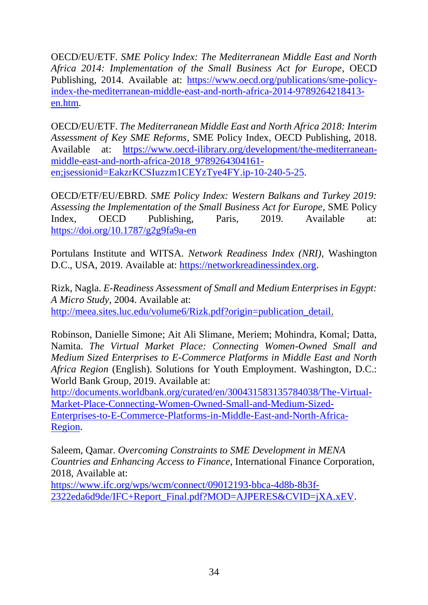OECD/EU/ETF. *SME Policy Index: The Mediterranean Middle East and North Africa 2014: Implementation of the Small Business Act for Europe*, OECD Publishing, 2014. Available at: [https://www.oecd.org/publications/sme-policy](https://www.oecd.org/publications/sme-policy-index-the-mediterranean-middle-east-and-north-africa-2014-9789264218413-en.htm)[index-the-mediterranean-middle-east-and-north-africa-2014-9789264218413](https://www.oecd.org/publications/sme-policy-index-the-mediterranean-middle-east-and-north-africa-2014-9789264218413-en.htm) [en.htm.](https://www.oecd.org/publications/sme-policy-index-the-mediterranean-middle-east-and-north-africa-2014-9789264218413-en.htm)

OECD/EU/ETF. *The Mediterranean Middle East and North Africa 2018: Interim Assessment of Key SME Reforms*, SME Policy Index, OECD Publishing, 2018. Available at: [https://www.oecd-ilibrary.org/development/the-mediterranean](https://www.oecd-ilibrary.org/development/the-mediterranean-middle-east-and-north-africa-2018_9789264304161-en;jsessionid=EakzrKCSIuzzm1CEYzTye4FY.ip-10-240-5-25)[middle-east-and-north-africa-2018\\_9789264304161](https://www.oecd-ilibrary.org/development/the-mediterranean-middle-east-and-north-africa-2018_9789264304161-en;jsessionid=EakzrKCSIuzzm1CEYzTye4FY.ip-10-240-5-25) [en;jsessionid=EakzrKCSIuzzm1CEYzTye4FY.ip-10-240-5-25.](https://www.oecd-ilibrary.org/development/the-mediterranean-middle-east-and-north-africa-2018_9789264304161-en;jsessionid=EakzrKCSIuzzm1CEYzTye4FY.ip-10-240-5-25)

OECD/ETF/EU/EBRD*. SME Policy Index: Western Balkans and Turkey 2019: Assessing the Implementation of the Small Business Act for Europe*, SME Policy Index, OECD Publishing, Paris, 2019. Available at[:](https://doi.org/10.1787/g2g9fa9a-en) <https://doi.org/10.1787/g2g9fa9a-en>

Portulans Institute and WITSA. *Network Readiness Index (NRI)*, Washington D.C., USA, 2019. Available at: [https://networkreadinessindex.org.](https://networkreadinessindex.org/)

Rizk, Nagla. *E-Readiness Assessment of Small and Medium Enterprises in Egypt: A Micro Study*, 2004. Available at[:](http://meea.sites.luc.edu/volume6/Rizk.pdf?origin=publication_detail) [http://meea.sites.luc.edu/volume6/Rizk.pdf?origin=publication\\_detail.](http://meea.sites.luc.edu/volume6/Rizk.pdf?origin=publication_detail)

Robinson, Danielle Simone; Ait Ali Slimane, Meriem; Mohindra, Komal; Datta, Namita. *The Virtual Market Place: Connecting Women-Owned Small and Medium Sized Enterprises to E-Commerce Platforms in Middle East and North Africa Region* (English). Solutions for Youth Employment. Washington, D.C.: World Bank Group, 2019. Available at:

[http://documents.worldbank.org/curated/en/300431583135784038/The-Virtual-](http://documents.worldbank.org/curated/en/300431583135784038/The-Virtual-Market-Place-Connecting-Women-Owned-Small-and-Medium-Sized-Enterprises-to-E-Commerce-Platforms-in-Middle-East-and-North-Africa-Region)[Market-Place-Connecting-Women-Owned-Small-and-Medium-Sized-](http://documents.worldbank.org/curated/en/300431583135784038/The-Virtual-Market-Place-Connecting-Women-Owned-Small-and-Medium-Sized-Enterprises-to-E-Commerce-Platforms-in-Middle-East-and-North-Africa-Region)[Enterprises-to-E-Commerce-Platforms-in-Middle-East-and-North-Africa-](http://documents.worldbank.org/curated/en/300431583135784038/The-Virtual-Market-Place-Connecting-Women-Owned-Small-and-Medium-Sized-Enterprises-to-E-Commerce-Platforms-in-Middle-East-and-North-Africa-Region)[Region.](http://documents.worldbank.org/curated/en/300431583135784038/The-Virtual-Market-Place-Connecting-Women-Owned-Small-and-Medium-Sized-Enterprises-to-E-Commerce-Platforms-in-Middle-East-and-North-Africa-Region)

Saleem, Qamar. *Overcoming Constraints to SME Development in MENA Countries and Enhancing Access to Finance*, International Finance Corporation, 2018, Available at:

[https://www.ifc.org/wps/wcm/connect/09012193-bbca-4d8b-8b3f-](https://www.ifc.org/wps/wcm/connect/09012193-bbca-4d8b-8b3f-2322eda6d9de/IFC+Report_Final.pdf?MOD=AJPERES&CVID=jXA.xEV)[2322eda6d9de/IFC+Report\\_Final.pdf?MOD=AJPERES&CVID=jXA.xEV.](https://www.ifc.org/wps/wcm/connect/09012193-bbca-4d8b-8b3f-2322eda6d9de/IFC+Report_Final.pdf?MOD=AJPERES&CVID=jXA.xEV)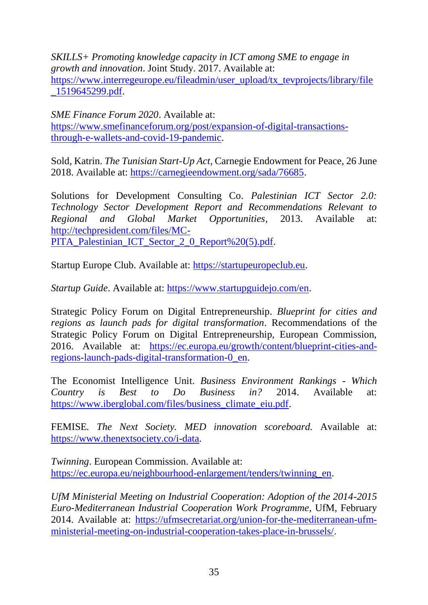*SKILLS+ Promoting knowledge capacity in ICT among SME to engage in growth and innovation*. Joint Study. 2017. Available at: [https://www.interregeurope.eu/fileadmin/user\\_upload/tx\\_tevprojects/library/file](https://www.interregeurope.eu/fileadmin/user_upload/tx_tevprojects/library/file_1519645299.pdf) [\\_1519645299.pdf.](https://www.interregeurope.eu/fileadmin/user_upload/tx_tevprojects/library/file_1519645299.pdf)

*SME Finance Forum 2020*. Available at: [https://www.smefinanceforum.org/post/expansion-of-digital-transactions](https://www.smefinanceforum.org/post/expansion-of-digital-transactions-through-e-wallets-and-covid-19-pandemic)[through-e-wallets-and-covid-19-pandemic.](https://www.smefinanceforum.org/post/expansion-of-digital-transactions-through-e-wallets-and-covid-19-pandemic)

Sold, Katrin. *The Tunisian Start-Up Act,* Carnegie Endowment for Peace, 26 June 2018. Available at: [https://carnegieendowment.org/sada/76685.](https://carnegieendowment.org/sada/76685)

Solutions for Development Consulting Co. *Palestinian ICT Sector 2.0: Technology Sector Development Report and Recommendations Relevant to Regional and Global Market Opportunities,* 2013. Available at: [http://techpresident.com/files/MC-](http://techpresident.com/files/MC-PITA_Palestinian_ICT_Sector_2_0_Report%20(5).pdf)[PITA\\_Palestinian\\_ICT\\_Sector\\_2\\_0\\_Report%20\(5\).pdf.](http://techpresident.com/files/MC-PITA_Palestinian_ICT_Sector_2_0_Report%20(5).pdf)

Startup Europe Club. Available at: [https://startupeuropeclub.eu.](https://startupeuropeclub.eu/)

*Startup Guide*. Available at: [https://www.startupguidejo.com/en.](https://www.startupguidejo.com/en)

Strategic Policy Forum on Digital Entrepreneurship. *Blueprint for cities and regions as launch pads for digital transformation*. Recommendations of the Strategic Policy Forum on Digital Entrepreneurship, European Commission, 2016. Available at: [https://ec.europa.eu/growth/content/blueprint-cities-and](https://ec.europa.eu/growth/content/blueprint-cities-and-regions-launch-pads-digital-transformation-0_en)[regions-launch-pads-digital-transformation-0\\_en.](https://ec.europa.eu/growth/content/blueprint-cities-and-regions-launch-pads-digital-transformation-0_en)

The Economist Intelligence Unit. *Business Environment Rankings - Which Country is Best to Do Business in?* 2014. Available at: [https://www.iberglobal.com/files/business\\_climate\\_eiu.pdf.](https://www.iberglobal.com/files/business_climate_eiu.pdf)

FEMISE*. The Next Society. MED innovation scoreboard.* Available at: [https://www.thenextsociety.co/i-data.](https://www.thenextsociety.co/i-data)

*Twinning*. European Commission. Available at: [https://ec.europa.eu/neighbourhood-enlargement/tenders/twinning\\_en.](https://ec.europa.eu/neighbourhood-enlargement/tenders/twinning_en)

*UfM Ministerial Meeting on Industrial Cooperation: Adoption of the 2014-2015 Euro-Mediterranean Industrial Cooperation Work Programme*, UfM, February 2014. Available at: [https://ufmsecretariat.org/union-for-the-mediterranean-ufm](https://ufmsecretariat.org/union-for-the-mediterranean-ufm-ministerial-meeting-on-industrial-cooperation-takes-place-in-brussels/)[ministerial-meeting-on-industrial-cooperation-takes-place-in-brussels/.](https://ufmsecretariat.org/union-for-the-mediterranean-ufm-ministerial-meeting-on-industrial-cooperation-takes-place-in-brussels/)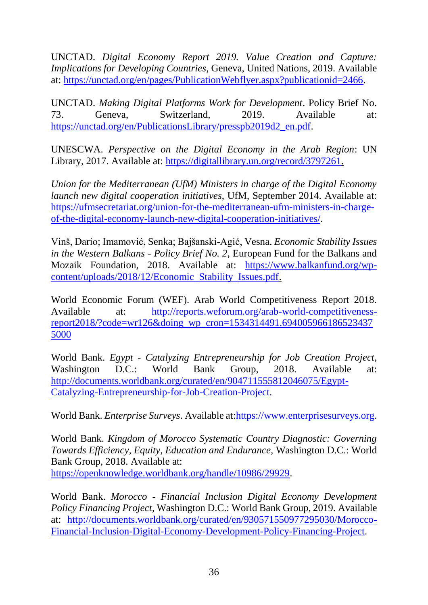UNCTAD. *Digital Economy Report 2019. Value Creation and Capture: Implications for Developing Countries,* Geneva, United Nations, 2019. Available at: [https://unctad.org/en/pages/PublicationWebflyer.aspx?publicationid=2466.](https://unctad.org/en/pages/PublicationWebflyer.aspx?publicationid=2466)

UNCTAD. *Making Digital Platforms Work for Development*. Policy Brief No. 73. Geneva, Switzerland, 2019. Available at: [https://unctad.org/en/PublicationsLibrary/presspb2019d2\\_en.pdf.](https://unctad.org/en/PublicationsLibrary/presspb2019d2_en.pdf)

UNESCWA. *Perspective on the Digital Economy in the Arab Region*: UN Library, 2017. Available at: [https://digitallibrary.un.org/record/3797261.](https://digitallibrary.un.org/record/3797261)

*Union for the Mediterranean (UfM) Ministers in charge of the Digital Economy launch new digital cooperation initiatives*, UfM, September 2014. Available at: [https://ufmsecretariat.org/union-for-the-mediterranean-ufm-ministers-in-charge](https://ufmsecretariat.org/union-for-the-mediterranean-ufm-ministers-in-charge-of-the-digital-economy-launch-new-digital-cooperation-initiatives/)[of-the-digital-economy-launch-new-digital-cooperation-initiatives/.](https://ufmsecretariat.org/union-for-the-mediterranean-ufm-ministers-in-charge-of-the-digital-economy-launch-new-digital-cooperation-initiatives/)

Vinš, Dario; Imamović, Senka; Bajšanski-Agić, Vesna. *Economic Stability Issues in the Western Balkans - Policy Brief No. 2*, European Fund for the Balkans and Mozaik Foundation, 2018. Available at: [https://www.balkanfund.org/wp](https://www.balkanfund.org/wp-content/uploads/2018/12/Economic_Stability_Issues.pdf)[content/uploads/2018/12/Economic\\_Stability\\_Issues.pdf.](https://www.balkanfund.org/wp-content/uploads/2018/12/Economic_Stability_Issues.pdf)

World Economic Forum (WEF). Arab World Competitiveness Report 2018. Available at: [http://reports.weforum.org/arab-world-competitiveness](http://reports.weforum.org/arab-world-competitiveness-report2018/?code=wr126&doing_wp_cron=1534314491.6940059661865234375000)[report2018/?code=wr126&doing\\_wp\\_cron=1534314491.694005966186523437](http://reports.weforum.org/arab-world-competitiveness-report2018/?code=wr126&doing_wp_cron=1534314491.6940059661865234375000) [5000](http://reports.weforum.org/arab-world-competitiveness-report2018/?code=wr126&doing_wp_cron=1534314491.6940059661865234375000)

World Bank. *Egypt - Catalyzing Entrepreneurship for Job Creation Project,*  Washington D.C.: World Bank Group, 2018. Available at: [http://documents.worldbank.org/curated/en/904711555812046075/Egypt-](http://documents.worldbank.org/curated/en/904711555812046075/Egypt-Catalyzing-Entrepreneurship-for-Job-Creation-Project)[Catalyzing-Entrepreneurship-for-Job-Creation-Project.](http://documents.worldbank.org/curated/en/904711555812046075/Egypt-Catalyzing-Entrepreneurship-for-Job-Creation-Project)

World Bank. *Enterprise Surveys*. Available at[:https://www.enterprisesurveys.org.](https://www.enterprisesurveys.org/)

World Bank. *Kingdom of Morocco Systematic Country Diagnostic: Governing Towards Efficiency, Equity, Education and Endurance,* Washington D.C.: World Bank Group, 2018. Available at[:](https://openknowledge.worldbank.org/handle/10986/29929) [https://openknowledge.worldbank.org/handle/10986/29929.](https://openknowledge.worldbank.org/handle/10986/29929)

World Bank. *Morocco - Financial Inclusion Digital Economy Development Policy Financing Project,* Washington D.C.: World Bank Group, 2019. Available at: [http://documents.worldbank.org/curated/en/930571550977295030/Morocco-](http://documents.worldbank.org/curated/en/930571550977295030/Morocco-Financial-Inclusion-Digital-Economy-Development-Policy-Financing-Project)[Financial-Inclusion-Digital-Economy-Development-Policy-Financing-Project.](http://documents.worldbank.org/curated/en/930571550977295030/Morocco-Financial-Inclusion-Digital-Economy-Development-Policy-Financing-Project)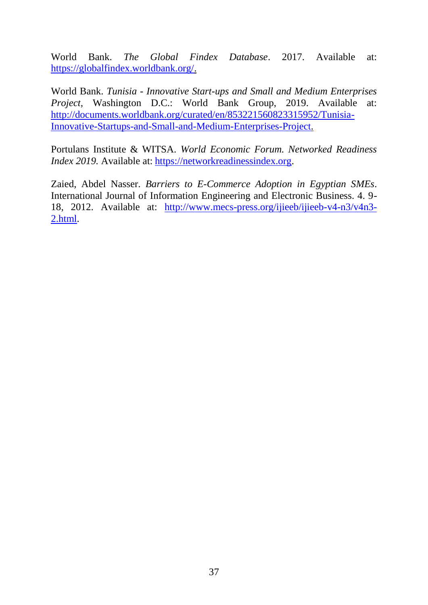World Bank. *The Global Findex Database*. 2017. Available at: [https://globalfindex.worldbank.org/.](https://globalfindex.worldbank.org/)

World Bank. *Tunisia - Innovative Start-ups and Small and Medium Enterprises Project,* Washington D.C.: World Bank Group, 2019. Available at: [http://documents.worldbank.org/curated/en/853221560823315952/Tunisia-](http://documents.worldbank.org/curated/en/853221560823315952/Tunisia-Innovative-Startups-and-Small-and-Medium-Enterprises-Project)[Innovative-Startups-and-Small-and-Medium-Enterprises-Project.](http://documents.worldbank.org/curated/en/853221560823315952/Tunisia-Innovative-Startups-and-Small-and-Medium-Enterprises-Project)

Portulans Institute & WITSA. *World Economic Forum. Networked Readiness Index* 2019. Available at: [https://networkreadinessindex.org.](https://networkreadinessindex.org/)

<span id="page-46-0"></span>Zaied, Abdel Nasser. *Barriers to E-Commerce Adoption in Egyptian SMEs*. International Journal of Information Engineering and Electronic Business. 4. 9- 18, 2012. Available at: [http://www.mecs-press.org/ijieeb/ijieeb-v4-n3/v4n3-](http://www.mecs-press.org/ijieeb/ijieeb-v4-n3/v4n3-2.html) [2.html.](http://www.mecs-press.org/ijieeb/ijieeb-v4-n3/v4n3-2.html)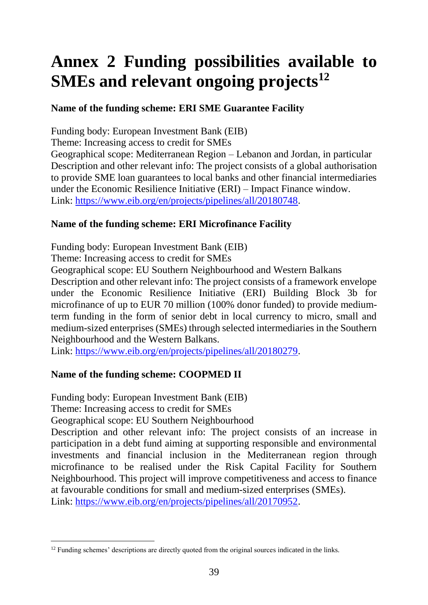## **Annex 2 Funding possibilities available to SMEs and relevant ongoing projects<sup>12</sup>**

#### **Name of the funding scheme: ERI SME Guarantee Facility**

Funding body: European Investment Bank (EIB)

Theme: Increasing access to credit for SMEs

Geographical scope: Mediterranean Region – Lebanon and Jordan, in particular Description and other relevant info: The project consists of a global authorisation to provide SME loan guarantees to local banks and other financial intermediaries under the Economic Resilience Initiative (ERI) – Impact Finance window. Link: [https://www.eib.org/en/projects/pipelines/all/20180748.](https://www.eib.org/en/projects/pipelines/all/20180748)

#### **Name of the funding scheme: ERI Microfinance Facility**

Funding body: European Investment Bank (EIB)

Theme: Increasing access to credit for SMEs

Geographical scope: EU Southern Neighbourhood and Western Balkans

Description and other relevant info: The project consists of a framework envelope under the Economic Resilience Initiative (ERI) Building Block 3b for microfinance of up to EUR 70 million (100% donor funded) to provide mediumterm funding in the form of senior debt in local currency to micro, small and medium-sized enterprises (SMEs) through selected intermediaries in the Southern Neighbourhood and the Western Balkans.

Link: [https://www.eib.org/en/projects/pipelines/all/20180279.](https://www.eib.org/en/projects/pipelines/all/20180279)

#### **Name of the funding scheme: COOPMED II**

Funding body: European Investment Bank (EIB)

Theme: Increasing access to credit for SMEs

Geographical scope: EU Southern Neighbourhood

Description and other relevant info: The project consists of an increase in participation in a debt fund aiming at supporting responsible and environmental investments and financial inclusion in the Mediterranean region through microfinance to be realised under the Risk Capital Facility for Southern Neighbourhood. This project will improve competitiveness and access to finance at favourable conditions for small and medium-sized enterprises (SMEs). Link: [https://www.eib.org/en/projects/pipelines/all/20170952.](https://www.eib.org/en/projects/pipelines/all/20170952)

 $\overline{a}$ <sup>12</sup> Funding schemes' descriptions are directly quoted from the original sources indicated in the links.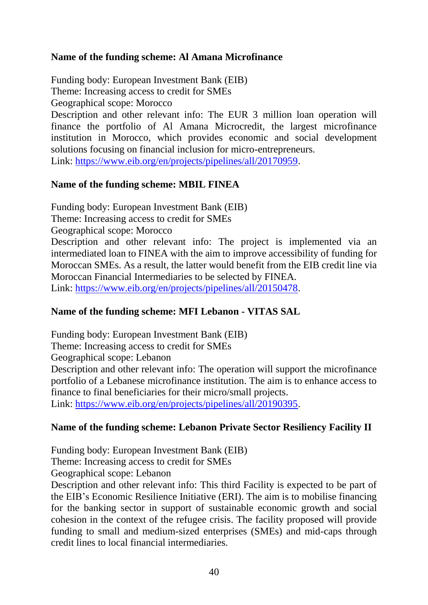#### **Name of the funding scheme: Al Amana Microfinance**

Funding body: European Investment Bank (EIB) Theme: Increasing access to credit for SMEs Geographical scope: Morocco

Description and other relevant info: The EUR 3 million loan operation will finance the portfolio of Al Amana Microcredit, the largest microfinance institution in Morocco, which provides economic and social development solutions focusing on financial inclusion for micro-entrepreneurs. Link: [https://www.eib.org/en/projects/pipelines/all/20170959.](https://www.eib.org/en/projects/pipelines/all/20170959)

#### **Name of the funding scheme: MBIL FINEA**

Funding body: European Investment Bank (EIB)

Theme: Increasing access to credit for SMEs

Geographical scope: Morocco

Description and other relevant info: The project is implemented via an intermediated loan to FINEA with the aim to improve accessibility of funding for Moroccan SMEs. As a result, the latter would benefit from the EIB credit line via Moroccan Financial Intermediaries to be selected by FINEA. Link: [https://www.eib.org/en/projects/pipelines/all/20150478.](https://www.eib.org/en/projects/pipelines/all/20150478)

#### **Name of the funding scheme: MFI Lebanon - VITAS SAL**

Funding body: European Investment Bank (EIB) Theme: Increasing access to credit for SMEs Geographical scope: Lebanon Description and other relevant info: The operation will support the microfinance portfolio of a Lebanese microfinance institution. The aim is to enhance access to finance to final beneficiaries for their micro/small projects. Link: [https://www.eib.org/en/projects/pipelines/all/20190395.](https://www.eib.org/en/projects/pipelines/all/20190395)

#### **Name of the funding scheme: Lebanon Private Sector Resiliency Facility II**

Funding body: European Investment Bank (EIB) Theme: Increasing access to credit for SMEs

Geographical scope: Lebanon

Description and other relevant info: This third Facility is expected to be part of the EIB's Economic Resilience Initiative (ERI). The aim is to mobilise financing for the banking sector in support of sustainable economic growth and social cohesion in the context of the refugee crisis. The facility proposed will provide funding to small and medium-sized enterprises (SMEs) and mid-caps through credit lines to local financial intermediaries.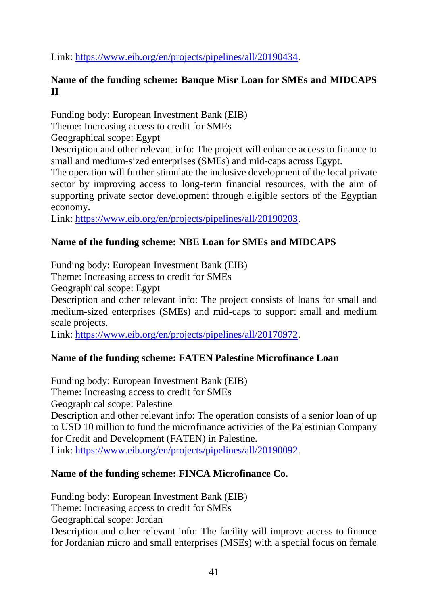Link: [https://www.eib.org/en/projects/pipelines/all/20190434.](https://www.eib.org/en/projects/pipelines/all/20190434)

#### **Name of the funding scheme: Banque Misr Loan for SMEs and MIDCAPS II**

Funding body: European Investment Bank (EIB) Theme: Increasing access to credit for SMEs Geographical scope: Egypt Description and other relevant info: The project will enhance access to finance to small and medium-sized enterprises (SMEs) and mid-caps across Egypt. The operation will further stimulate the inclusive development of the local private sector by improving access to long-term financial resources, with the aim of supporting private sector development through eligible sectors of the Egyptian economy.

Link: [https://www.eib.org/en/projects/pipelines/all/20190203.](https://www.eib.org/en/projects/pipelines/all/20190203)

#### **Name of the funding scheme: NBE Loan for SMEs and MIDCAPS**

Funding body: European Investment Bank (EIB) Theme: Increasing access to credit for SMEs Geographical scope: Egypt Description and other relevant info: The project consists of loans for small and medium-sized enterprises (SMEs) and mid-caps to support small and medium scale projects.

Link: [https://www.eib.org/en/projects/pipelines/all/20170972.](https://www.eib.org/en/projects/pipelines/all/20170972)

#### **Name of the funding scheme: FATEN Palestine Microfinance Loan**

Funding body: European Investment Bank (EIB) Theme: Increasing access to credit for SMEs Geographical scope: Palestine Description and other relevant info: The operation consists of a senior loan of up to USD 10 million to fund the microfinance activities of the Palestinian Company for Credit and Development (FATEN) in Palestine. Link: [https://www.eib.org/en/projects/pipelines/all/20190092.](https://www.eib.org/en/projects/pipelines/all/20190092)

#### **Name of the funding scheme: FINCA Microfinance Co.**

Funding body: European Investment Bank (EIB) Theme: Increasing access to credit for SMEs Geographical scope: Jordan Description and other relevant info: The facility will improve access to finance for Jordanian micro and small enterprises (MSEs) with a special focus on female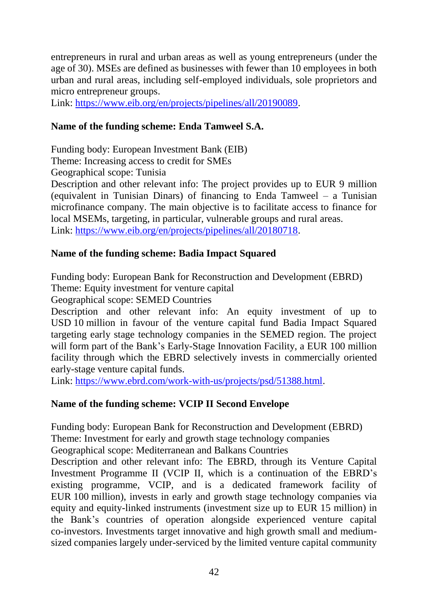entrepreneurs in rural and urban areas as well as young entrepreneurs (under the age of 30). MSEs are defined as businesses with fewer than 10 employees in both urban and rural areas, including self-employed individuals, sole proprietors and micro entrepreneur groups.

Link: [https://www.eib.org/en/projects/pipelines/all/20190089.](https://www.eib.org/en/projects/pipelines/all/20190089)

#### **Name of the funding scheme: Enda Tamweel S.A.**

Funding body: European Investment Bank (EIB)

Theme: Increasing access to credit for SMEs

Geographical scope: Tunisia

Description and other relevant info: The project provides up to EUR 9 million (equivalent in Tunisian Dinars) of financing to Enda Tamweel – a Tunisian microfinance company. The main objective is to facilitate access to finance for local MSEMs, targeting, in particular, vulnerable groups and rural areas. Link: [https://www.eib.org/en/projects/pipelines/all/20180718.](https://www.eib.org/en/projects/pipelines/all/20180718)

#### **Name of the funding scheme: Badia Impact Squared**

Funding body: European Bank for Reconstruction and Development (EBRD) Theme: Equity investment for venture capital

Geographical scope: SEMED Countries

Description and other relevant info: An equity investment of up to USD 10 million in favour of the venture capital fund Badia Impact Squared targeting early stage technology companies in the SEMED region. The project will form part of the Bank's Early-Stage Innovation Facility, a EUR 100 million facility through which the EBRD selectively invests in commercially oriented early-stage venture capital funds.

Link: [https://www.ebrd.com/work-with-us/projects/psd/51388.html.](https://www.ebrd.com/work-with-us/projects/psd/51388.html)

#### **Name of the funding scheme: VCIP II Second Envelope**

Funding body: European Bank for Reconstruction and Development (EBRD) Theme: Investment for early and growth stage technology companies

Geographical scope: Mediterranean and Balkans Countries

Description and other relevant info: The EBRD, through its Venture Capital Investment Programme II (VCIP II, which is a continuation of the EBRD's existing programme, VCIP, and is a dedicated framework facility of EUR 100 million), invests in early and growth stage technology companies via equity and equity-linked instruments (investment size up to EUR 15 million) in the Bank's countries of operation alongside experienced venture capital co-investors. Investments target innovative and high growth small and mediumsized companies largely under-serviced by the limited venture capital community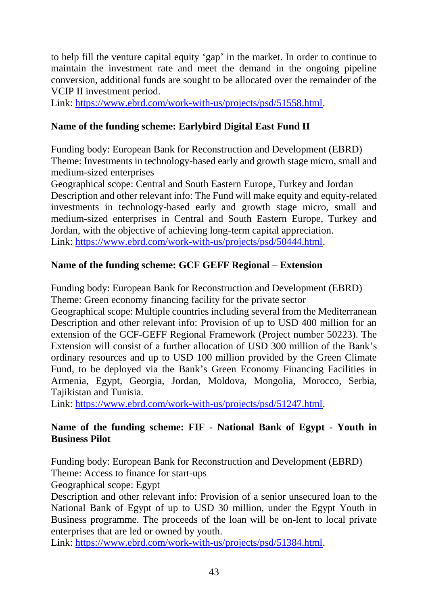to help fill the venture capital equity 'gap' in the market. In order to continue to maintain the investment rate and meet the demand in the ongoing pipeline conversion, additional funds are sought to be allocated over the remainder of the VCIP II investment period.

Link: [https://www.ebrd.com/work-with-us/projects/psd/51558.html.](https://www.ebrd.com/work-with-us/projects/psd/51558.html)

#### **Name of the funding scheme: Earlybird Digital East Fund II**

Funding body: European Bank for Reconstruction and Development (EBRD) Theme: Investments in technology-based early and growth stage micro, small and medium-sized enterprises

Geographical scope: Central and South Eastern Europe, Turkey and Jordan Description and other relevant info: The Fund will make equity and equity-related investments in technology-based early and growth stage micro, small and medium-sized enterprises in Central and South Eastern Europe, Turkey and Jordan, with the objective of achieving long-term capital appreciation. Link: [https://www.ebrd.com/work-with-us/projects/psd/50444.html.](https://www.ebrd.com/work-with-us/projects/psd/50444.html)

#### **Name of the funding scheme: GCF GEFF Regional – Extension**

Funding body: European Bank for Reconstruction and Development (EBRD) Theme: Green economy financing facility for the private sector

Geographical scope: Multiple countries including several from the Mediterranean Description and other relevant info: Provision of up to USD 400 million for an extension of the GCF-GEFF Regional Framework (Project number 50223). The Extension will consist of a further allocation of USD 300 million of the Bank's ordinary resources and up to USD 100 million provided by the Green Climate Fund, to be deployed via the Bank's Green Economy Financing Facilities in Armenia, Egypt, Georgia, Jordan, Moldova, Mongolia, Morocco, Serbia, Tajikistan and Tunisia.

Link: [https://www.ebrd.com/work-with-us/projects/psd/51247.html.](https://www.ebrd.com/work-with-us/projects/psd/51247.html)

#### **Name of the funding scheme: FIF - National Bank of Egypt - Youth in Business Pilot**

Funding body: European Bank for Reconstruction and Development (EBRD)

Theme: Access to finance for start-ups

Geographical scope: Egypt

Description and other relevant info: Provision of a senior unsecured loan to the National Bank of Egypt of up to USD 30 million, under the Egypt Youth in Business programme. The proceeds of the loan will be on-lent to local private enterprises that are led or owned by youth.

Link: [https://www.ebrd.com/work-with-us/projects/psd/51384.html.](https://www.ebrd.com/work-with-us/projects/psd/51384.html)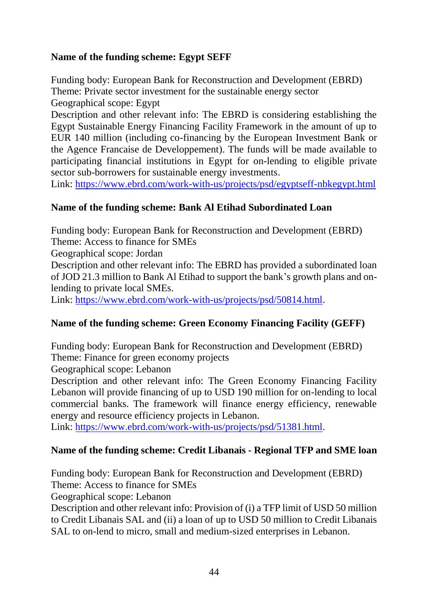#### **Name of the funding scheme: Egypt SEFF**

Funding body: European Bank for Reconstruction and Development (EBRD) Theme: Private sector investment for the sustainable energy sector Geographical scope: Egypt

Description and other relevant info: The EBRD is considering establishing the Egypt Sustainable Energy Financing Facility Framework in the amount of up to EUR 140 million (including co-financing by the European Investment Bank or the Agence Francaise de Developpement). The funds will be made available to participating financial institutions in Egypt for on-lending to eligible private sector sub-borrowers for sustainable energy investments.

Link:<https://www.ebrd.com/work-with-us/projects/psd/egyptseff-nbkegypt.html>

#### **Name of the funding scheme: Bank Al Etihad Subordinated Loan**

Funding body: European Bank for Reconstruction and Development (EBRD) Theme: Access to finance for SMEs

Geographical scope: Jordan

Description and other relevant info: The EBRD has provided a subordinated loan of JOD 21.3 million to Bank Al Etihad to support the bank's growth plans and onlending to private local SMEs.

Link: [https://www.ebrd.com/work-with-us/projects/psd/50814.html.](https://www.ebrd.com/work-with-us/projects/psd/50814.html)

#### **Name of the funding scheme: Green Economy Financing Facility (GEFF)**

Funding body: European Bank for Reconstruction and Development (EBRD) Theme: Finance for green economy projects

Geographical scope: Lebanon

Description and other relevant info: The Green Economy Financing Facility Lebanon will provide financing of up to USD 190 million for on-lending to local commercial banks. The framework will finance energy efficiency, renewable energy and resource efficiency projects in Lebanon.

Link: [https://www.ebrd.com/work-with-us/projects/psd/51381.html.](https://www.ebrd.com/work-with-us/projects/psd/51381.html)

#### **Name of the funding scheme: Credit Libanais - Regional TFP and SME loan**

Funding body: European Bank for Reconstruction and Development (EBRD) Theme: Access to finance for SMEs

Geographical scope: Lebanon

Description and other relevant info: Provision of (i) a TFP limit of USD 50 million to Credit Libanais SAL and (ii) a loan of up to USD 50 million to Credit Libanais SAL to on-lend to micro, small and medium-sized enterprises in Lebanon.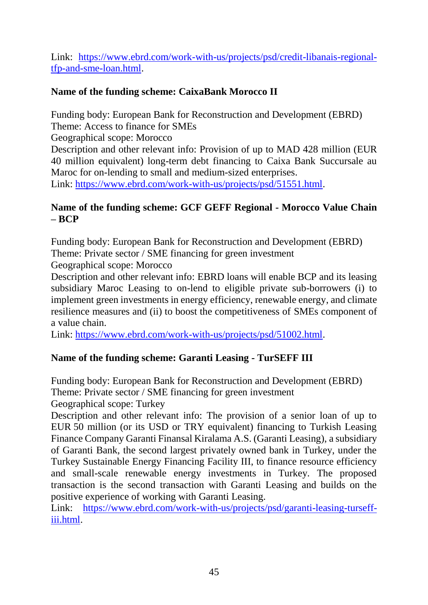Link: [https://www.ebrd.com/work-with-us/projects/psd/credit-libanais-regional](https://www.ebrd.com/work-with-us/projects/psd/credit-libanais-regional-tfp-and-sme-loan.html)[tfp-and-sme-loan.html.](https://www.ebrd.com/work-with-us/projects/psd/credit-libanais-regional-tfp-and-sme-loan.html)

#### **Name of the funding scheme: CaixaBank Morocco II**

Funding body: European Bank for Reconstruction and Development (EBRD) Theme: Access to finance for SMEs

Geographical scope: Morocco

Description and other relevant info: Provision of up to MAD 428 million (EUR 40 million equivalent) long-term debt financing to Caixa Bank Succursale au Maroc for on-lending to small and medium-sized enterprises.

Link: [https://www.ebrd.com/work-with-us/projects/psd/51551.html.](https://www.ebrd.com/work-with-us/projects/psd/51551.html)

#### **Name of the funding scheme: GCF GEFF Regional - Morocco Value Chain – BCP**

Funding body: European Bank for Reconstruction and Development (EBRD) Theme: Private sector / SME financing for green investment Geographical scope: Morocco

Description and other relevant info: EBRD loans will enable BCP and its leasing subsidiary Maroc Leasing to on-lend to eligible private sub-borrowers (i) to implement green investments in energy efficiency, renewable energy, and climate resilience measures and (ii) to boost the competitiveness of SMEs component of a value chain.

Link: [https://www.ebrd.com/work-with-us/projects/psd/51002.html.](https://www.ebrd.com/work-with-us/projects/psd/51002.html)

#### **Name of the funding scheme: Garanti Leasing - TurSEFF III**

Funding body: European Bank for Reconstruction and Development (EBRD) Theme: Private sector / SME financing for green investment

Geographical scope: Turkey

Description and other relevant info: The provision of a senior loan of up to EUR 50 million (or its USD or TRY equivalent) financing to Turkish Leasing Finance Company Garanti Finansal Kiralama A.S. (Garanti Leasing), a subsidiary of Garanti Bank, the second largest privately owned bank in Turkey, under the Turkey Sustainable Energy Financing Facility III, to finance resource efficiency and small-scale renewable energy investments in Turkey. The proposed transaction is the second transaction with Garanti Leasing and builds on the positive experience of working with Garanti Leasing.

Link: [https://www.ebrd.com/work-with-us/projects/psd/garanti-leasing-turseff](https://www.ebrd.com/work-with-us/projects/psd/garanti-leasing-turseff-iii.html)[iii.html.](https://www.ebrd.com/work-with-us/projects/psd/garanti-leasing-turseff-iii.html)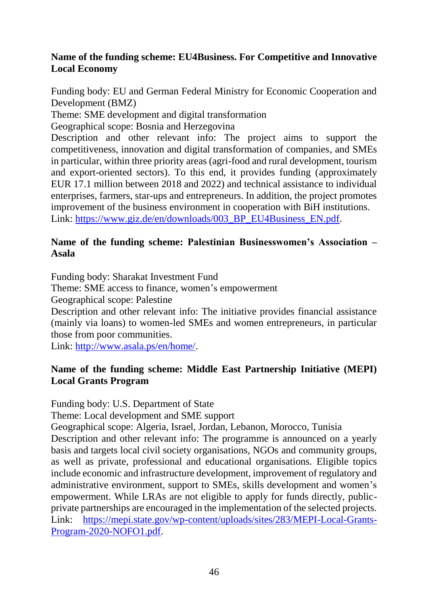#### **Name of the funding scheme: EU4Business. For Competitive and Innovative Local Economy**

Funding body: EU and German Federal Ministry for Economic Cooperation and Development (BMZ)

Theme: SME development and digital transformation

Geographical scope: Bosnia and Herzegovina

Description and other relevant info: The project aims to support the competitiveness, innovation and digital transformation of companies, and SMEs in particular, within three priority areas (agri-food and rural development, tourism and export-oriented sectors). To this end, it provides funding (approximately EUR 17.1 million between 2018 and 2022) and technical assistance to individual enterprises, farmers, star-ups and entrepreneurs. In addition, the project promotes improvement of the business environment in cooperation with BiH institutions. Link: [https://www.giz.de/en/downloads/003\\_BP\\_EU4Business\\_EN.pdf.](https://www.giz.de/en/downloads/003_BP_EU4Business_EN.pdf)

#### **Name of the funding scheme: [Palestinian Businesswomen's Association –](http://www.sharakat.ps/portfolio-items/palestinian-businesswomens-association-asala/) [Asala](http://www.sharakat.ps/portfolio-items/palestinian-businesswomens-association-asala/)**

Funding body: Sharakat Investment Fund

Theme: SME access to finance, women's empowerment

Geographical scope: Palestine

Description and other relevant info: The initiative provides financial assistance (mainly via loans) to women-led SMEs and women entrepreneurs, in particular those from poor communities.

Link: [http://www.asala.ps/en/home/.](http://www.asala.ps/en/home/)

#### **Name of the funding scheme: Middle East Partnership Initiative (MEPI) Local Grants Program**

Funding body: U.S. Department of State

Theme: Local development and SME support

Geographical scope: Algeria, Israel, Jordan, Lebanon, Morocco, Tunisia

Description and other relevant info: The programme is announced on a yearly basis and targets local civil society organisations, NGOs and community groups, as well as private, professional and educational organisations. Eligible topics include economic and infrastructure development, improvement of regulatory and administrative environment, support to SMEs, skills development and women's empowerment. While LRAs are not eligible to apply for funds directly, publicprivate partnerships are encouraged in the implementation of the selected projects. Link: [https://mepi.state.gov/wp-content/uploads/sites/283/MEPI-Local-Grants-](https://mepi.state.gov/wp-content/uploads/sites/283/MEPI-Local-Grants-Program-2020-NOFO1.pdf)[Program-2020-NOFO1.pdf.](https://mepi.state.gov/wp-content/uploads/sites/283/MEPI-Local-Grants-Program-2020-NOFO1.pdf)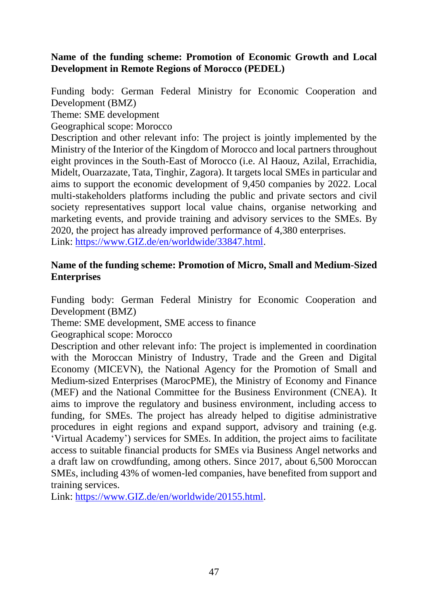#### **Name of the funding scheme: Promotion of Economic Growth and Local Development in Remote Regions of Morocco (PEDEL)**

Funding body: German Federal Ministry for Economic Cooperation and Development (BMZ)

Theme: SME development

Geographical scope: Morocco

Description and other relevant info: The project is jointly implemented by the Ministry of the Interior of the Kingdom of Morocco and local partners throughout eight provinces in the South-East of Morocco (i.e. Al Haouz, Azilal, Errachidia, Midelt, Ouarzazate, Tata, Tinghir, Zagora). It targets local SMEs in particular and aims to support the economic development of 9,450 companies by 2022. Local multi-stakeholders platforms including the public and private sectors and civil society representatives support local value chains, organise networking and marketing events, and provide training and advisory services to the SMEs. By 2020, the project has already improved performance of 4,380 enterprises. Link: [https://www.GIZ.de/en/worldwide/33847.html.](https://www.giz.de/en/worldwide/33847.html)

#### **Name of the funding scheme: Promotion of Micro, Small and Medium-Sized Enterprises**

Funding body: German Federal Ministry for Economic Cooperation and Development (BMZ)

Theme: SME development, SME access to finance

Geographical scope: Morocco

Description and other relevant info: The project is implemented in coordination with the Moroccan Ministry of Industry, Trade and the Green and Digital Economy (MICEVN), the National Agency for the Promotion of Small and Medium-sized Enterprises (MarocPME), the Ministry of Economy and Finance (MEF) and the National Committee for the Business Environment (CNEA). It aims to improve the regulatory and business environment, including access to funding, for SMEs. The project has already helped to digitise administrative procedures in eight regions and expand support, advisory and training (e.g. 'Virtual Academy') services for SMEs. In addition, the project aims to facilitate access to suitable financial products for SMEs via Business Angel networks and a draft law on crowdfunding, among others. Since 2017, about 6,500 Moroccan SMEs, including 43% of women-led companies, have benefited from support and training services.

Link: [https://www.GIZ.de/en/worldwide/20155.html.](https://www.giz.de/en/worldwide/20155.html)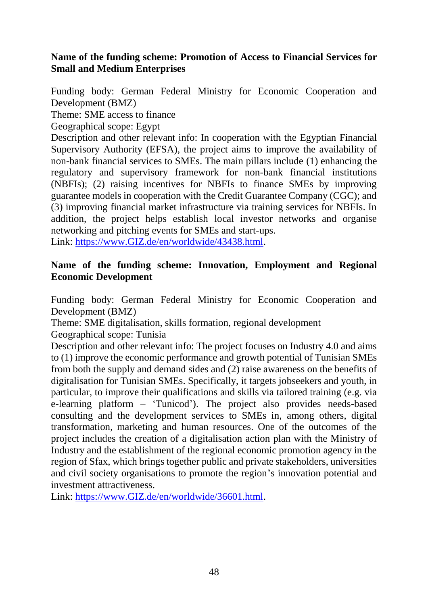#### **Name of the funding scheme: Promotion of Access to Financial Services for Small and Medium Enterprises**

Funding body: German Federal Ministry for Economic Cooperation and Development (BMZ)

Theme: SME access to finance

Geographical scope: Egypt

Description and other relevant info: In cooperation with the Egyptian Financial Supervisory Authority (EFSA), the project aims to improve the availability of non-bank financial services to SMEs. The main pillars include (1) enhancing the regulatory and supervisory framework for non-bank financial institutions (NBFIs); (2) raising incentives for NBFIs to finance SMEs by improving guarantee models in cooperation with the Credit Guarantee Company (CGC); and (3) improving financial market infrastructure via training services for NBFIs. In addition, the project helps establish local investor networks and organise networking and pitching events for SMEs and start-ups.

Link: [https://www.GIZ.de/en/worldwide/43438.html.](https://www.giz.de/en/worldwide/43438.html)

#### **Name of the funding scheme: Innovation, Employment and Regional Economic Development**

Funding body: German Federal Ministry for Economic Cooperation and Development (BMZ)

Theme: SME digitalisation, skills formation, regional development

Geographical scope: Tunisia

Description and other relevant info: The project focuses on Industry 4.0 and aims to (1) improve the economic performance and growth potential of Tunisian SMEs from both the supply and demand sides and (2) raise awareness on the benefits of digitalisation for Tunisian SMEs. Specifically, it targets jobseekers and youth, in particular, to improve their qualifications and skills via tailored training (e.g. via e-learning platform – 'Tunicod'). The project also provides needs-based consulting and the development services to SMEs in, among others, digital transformation, marketing and human resources. One of the outcomes of the project includes the creation of a digitalisation action plan with the Ministry of Industry and the establishment of the regional economic promotion agency in the region of Sfax, which brings together public and private stakeholders, universities and civil society organisations to promote the region's innovation potential and investment attractiveness.

Link: [https://www.GIZ.de/en/worldwide/36601.html.](https://www.giz.de/en/worldwide/36601.html)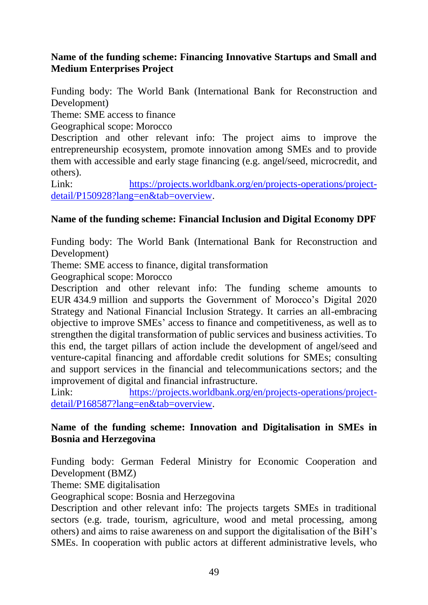#### **Name of the funding scheme: Financing Innovative Startups and Small and Medium Enterprises Project**

Funding body: The World Bank (International Bank for Reconstruction and Development)

Theme: SME access to finance

Geographical scope: Morocco

Description and other relevant info: The project aims to improve the entrepreneurship ecosystem, promote innovation among SMEs and to provide them with accessible and early stage financing (e.g. angel/seed, microcredit, and others).

Link: [https://projects.worldbank.org/en/projects-operations/project](https://projects.worldbank.org/en/projects-operations/project-detail/P150928?lang=en&tab=overview)[detail/P150928?lang=en&tab=overview.](https://projects.worldbank.org/en/projects-operations/project-detail/P150928?lang=en&tab=overview)

#### **Name of the funding scheme: Financial Inclusion and Digital Economy DPF**

Funding body: The World Bank (International Bank for Reconstruction and Development)

Theme: SME access to finance, digital transformation

Geographical scope: Morocco

Description and other relevant info: The funding scheme amounts to EUR 434.9 million and supports the Government of Morocco's Digital 2020 Strategy and National Financial Inclusion Strategy. It carries an all-embracing objective to improve SMEs' access to finance and competitiveness, as well as to strengthen the digital transformation of public services and business activities. To this end, the target pillars of action include the development of angel/seed and venture-capital financing and affordable credit solutions for SMEs; consulting and support services in the financial and telecommunications sectors; and the improvement of digital and financial infrastructure.

Link: [https://projects.worldbank.org/en/projects-operations/project](https://projects.worldbank.org/en/projects-operations/project-detail/P168587?lang=en&tab=overview)[detail/P168587?lang=en&tab=overview.](https://projects.worldbank.org/en/projects-operations/project-detail/P168587?lang=en&tab=overview)

#### **Name of the funding scheme: Innovation and Digitalisation in SMEs in Bosnia and Herzegovina**

Funding body: German Federal Ministry for Economic Cooperation and Development (BMZ)

Theme: SME digitalisation

Geographical scope: Bosnia and Herzegovina

Description and other relevant info: The projects targets SMEs in traditional sectors (e.g. trade, tourism, agriculture, wood and metal processing, among others) and aims to raise awareness on and support the digitalisation of the BiH's SMEs. In cooperation with public actors at different administrative levels, who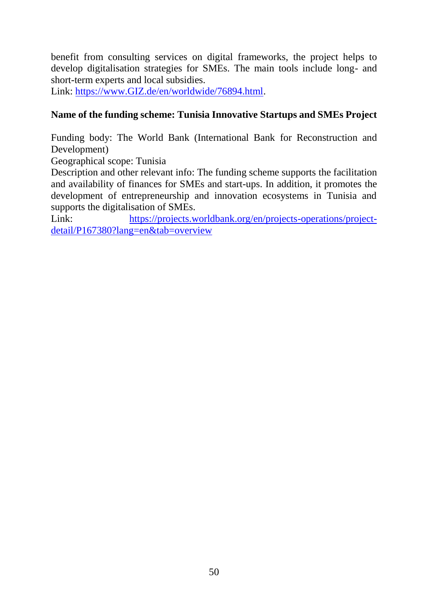benefit from consulting services on digital frameworks, the project helps to develop digitalisation strategies for SMEs. The main tools include long- and short-term experts and local subsidies.

Link: [https://www.GIZ.de/en/worldwide/76894.html.](https://www.giz.de/en/worldwide/76894.html)

#### **Name of the funding scheme: Tunisia Innovative Startups and SMEs Project**

Funding body: The World Bank (International Bank for Reconstruction and Development)

Geographical scope: Tunisia

Description and other relevant info: The funding scheme supports the facilitation and availability of finances for SMEs and start-ups. In addition, it promotes the development of entrepreneurship and innovation ecosystems in Tunisia and supports the digitalisation of SMEs.

Link: [https://projects.worldbank.org/en/projects-operations/project](https://projects.worldbank.org/en/projects-operations/project-detail/P167380?lang=en&tab=overview)[detail/P167380?lang=en&tab=overview](https://projects.worldbank.org/en/projects-operations/project-detail/P167380?lang=en&tab=overview)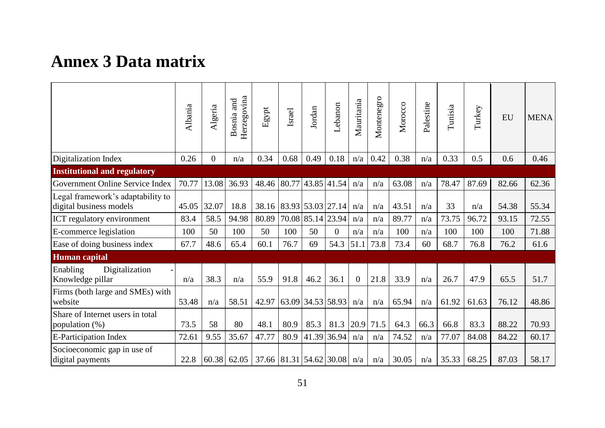### **Annex 3 Data matrix**

<span id="page-60-0"></span>

|                                                              | Albania | Algeria        | Herzegovina<br>and<br>Bosnia | Egypt                   | Israel | Jordan            | Lebanon        | Mauritania     | Montenegro | Morocco | Palestine | Tunisia | Turkey | <b>EU</b> | <b>MENA</b> |
|--------------------------------------------------------------|---------|----------------|------------------------------|-------------------------|--------|-------------------|----------------|----------------|------------|---------|-----------|---------|--------|-----------|-------------|
| Digitalization Index                                         | 0.26    | $\overline{0}$ | n/a                          | 0.34                    | 0.68   | 0.49              | 0.18           | n/a            | 0.42       | 0.38    | n/a       | 0.33    | 0.5    | 0.6       | 0.46        |
| <b>Institutional and regulatory</b>                          |         |                |                              |                         |        |                   |                |                |            |         |           |         |        |           |             |
| Government Online Service Index                              | 70.77   | 13.08          | 36.93                        | 48.46                   | 80.77  | 43.85 41.54       |                | n/a            | n/a        | 63.08   | n/a       | 78.47   | 87.69  | 82.66     | 62.36       |
| Legal framework's adaptability to<br>digital business models | 45.05   | 32.07          | 18.8                         | 38.16                   |        | 83.93 53.03 27.14 |                | n/a            | n/a        | 43.51   | n/a       | 33      | n/a    | 54.38     | 55.34       |
| ICT regulatory environment                                   | 83.4    | 58.5           | 94.98                        | 80.89                   |        | 70.08 85.14 23.94 |                | n/a            | n/a        | 89.77   | n/a       | 73.75   | 96.72  | 93.15     | 72.55       |
| E-commerce legislation                                       | 100     | 50             | 100                          | 50                      | 100    | 50                | $\overline{0}$ | n/a            | n/a        | 100     | n/a       | 100     | 100    | 100       | 71.88       |
| Ease of doing business index                                 | 67.7    | 48.6           | 65.4                         | 60.1                    | 76.7   | 69                | 54.3           | 51.1           | 73.8       | 73.4    | 60        | 68.7    | 76.8   | 76.2      | 61.6        |
| Human capital                                                |         |                |                              |                         |        |                   |                |                |            |         |           |         |        |           |             |
| Digitalization<br>Enabling<br>Knowledge pillar               | n/a     | 38.3           | n/a                          | 55.9                    | 91.8   | 46.2              | 36.1           | $\overline{0}$ | 21.8       | 33.9    | n/a       | 26.7    | 47.9   | 65.5      | 51.7        |
| Firms (both large and SMEs) with<br>website                  | 53.48   | n/a            | 58.51                        | 42.97                   |        | 63.09 34.53 58.93 |                | n/a            | n/a        | 65.94   | n/a       | 61.92   | 61.63  | 76.12     | 48.86       |
| Share of Internet users in total<br>population (%)           | 73.5    | 58             | 80                           | 48.1                    | 80.9   | 85.3              | 81.3           | 20.9           | 71.5       | 64.3    | 66.3      | 66.8    | 83.3   | 88.22     | 70.93       |
| E-Participation Index                                        | 72.61   | 9.55           | 35.67                        | 47.77                   | 80.9   | 41.39             | 36.94          | n/a            | n/a        | 74.52   | n/a       | 77.07   | 84.08  | 84.22     | 60.17       |
| Socioeconomic gap in use of<br>digital payments              | 22.8    | 60.38          | 62.05                        | 37.66 81.31 54.62 30.08 |        |                   |                | n/a            | n/a        | 30.05   | n/a       | 35.33   | 68.25  | 87.03     | 58.17       |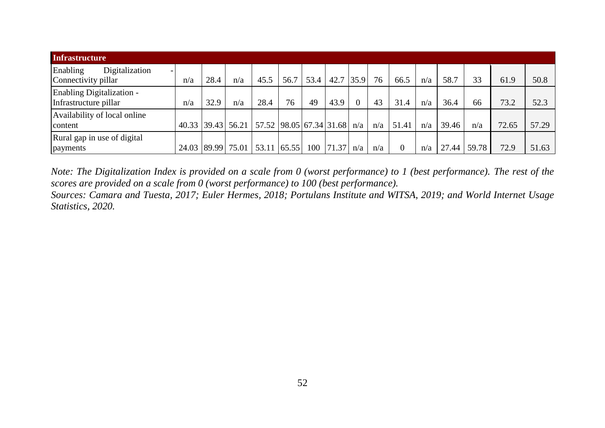| <b>Infrastructure</b>                              |       |       |                                           |             |      |      |       |      |     |       |     |       |       |       |       |
|----------------------------------------------------|-------|-------|-------------------------------------------|-------------|------|------|-------|------|-----|-------|-----|-------|-------|-------|-------|
| Enabling<br>Digitalization<br>Connectivity pillar  | n/a   | 28.4  | n/a                                       | 45.5        | 56.7 | 53.4 | 42.7  | 35.9 | 76  | 66.5  | n/a | 58.7  | 33    | 61.9  | 50.8  |
| Enabling Digitalization -<br>Infrastructure pillar | n/a   | 32.9  | n/a                                       | 28.4        | 76   | 49   | 43.9  |      | 43  | 31.4  | n/a | 36.4  | 66    | 73.2  | 52.3  |
| Availability of local online<br>content            |       |       | 40.33 39.43 56.21 57.52 98.05 67.34 31.68 |             |      |      |       | n/a  | n/a | 51.41 | n/a | 39.46 | n/a   | 72.65 | 57.29 |
| Rural gap in use of digital<br>payments            | 24.03 | 89.99 | 75.01                                     | 53.11 65.55 |      | 100  | 71.37 | n/a  | n/a | 0     | n/a | .44   | 59.78 | 72.9  | 51.63 |

*Note: The Digitalization Index is provided on a scale from 0 (worst performance) to 1 (best performance). The rest of the scores are provided on a scale from 0 (worst performance) to 100 (best performance).*

*Sources: Camara and Tuesta, 2017; Euler Hermes, 2018; Portulans Institute and WITSA*, *2019; and World Internet Usage Statistics, 2020.*